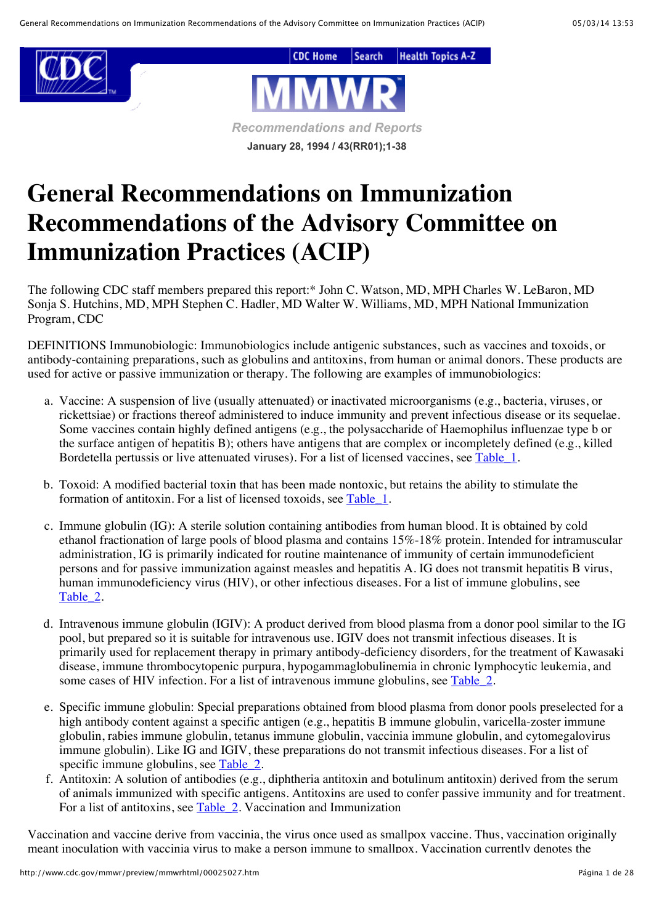

**January 28, 1994 / 43(RR01);1-38**

# **General Recommendations on Immunization Recommendations of the Advisory Committee on Immunization Practices (ACIP)**

The following CDC staff members prepared this report:\* John C. Watson, MD, MPH Charles W. LeBaron, MD Sonja S. Hutchins, MD, MPH Stephen C. Hadler, MD Walter W. Williams, MD, MPH National Immunization Program, CDC

DEFINITIONS Immunobiologic: Immunobiologics include antigenic substances, such as vaccines and toxoids, or antibody-containing preparations, such as globulins and antitoxins, from human or animal donors. These products are used for active or passive immunization or therapy. The following are examples of immunobiologics:

- a. Vaccine: A suspension of live (usually attenuated) or inactivated microorganisms (e.g., bacteria, viruses, or rickettsiae) or fractions thereof administered to induce immunity and prevent infectious disease or its sequelae. Some vaccines contain highly defined antigens (e.g., the polysaccharide of Haemophilus influenzae type b or the surface antigen of hepatitis B); others have antigens that are complex or incompletely defined (e.g., killed Bordetella pertussis or live attenuated viruses). For a list of licensed vaccines, see Table 1.
- b. Toxoid: A modified bacterial toxin that has been made nontoxic, but retains the ability to stimulate the formation of antitoxin. For a list of licensed toxoids, see [Table\\_1](http://www.cdc.gov/mmwr/preview/mmwrhtml/00025027.htm#00000348.htm).
- c. Immune globulin (IG): A sterile solution containing antibodies from human blood. It is obtained by cold ethanol fractionation of large pools of blood plasma and contains 15%-18% protein. Intended for intramuscular administration, IG is primarily indicated for routine maintenance of immunity of certain immunodeficient persons and for passive immunization against measles and hepatitis A. IG does not transmit hepatitis B virus, human immunodeficiency virus (HIV), or other infectious diseases. For a list of immune globulins, see Table 2.
- d. Intravenous immune globulin (IGIV): A product derived from blood plasma from a donor pool similar to the IG pool, but prepared so it is suitable for intravenous use. IGIV does not transmit infectious diseases. It is primarily used for replacement therapy in primary antibody-deficiency disorders, for the treatment of Kawasaki disease, immune thrombocytopenic purpura, hypogammaglobulinemia in chronic lymphocytic leukemia, and some cases of HIV infection. For a list of intravenous immune globulins, see Table 2.
- e. Specific immune globulin: Special preparations obtained from blood plasma from donor pools preselected for a high antibody content against a specific antigen (e.g., hepatitis B immune globulin, varicella-zoster immune globulin, rabies immune globulin, tetanus immune globulin, vaccinia immune globulin, and cytomegalovirus immune globulin). Like IG and IGIV, these preparations do not transmit infectious diseases. For a list of specific immune globulins, see Table 2.
- f. Antitoxin: A solution of antibodies (e.g., diphtheria antitoxin and botulinum antitoxin) derived from the serum of animals immunized with specific antigens. Antitoxins are used to confer passive immunity and for treatment. For a list of antitoxins, see **Table 2**. Vaccination and Immunization

Vaccination and vaccine derive from vaccinia, the virus once used as smallpox vaccine. Thus, vaccination originally meant inoculation with vaccinia virus to make a person immune to smallpox. Vaccination currently denotes the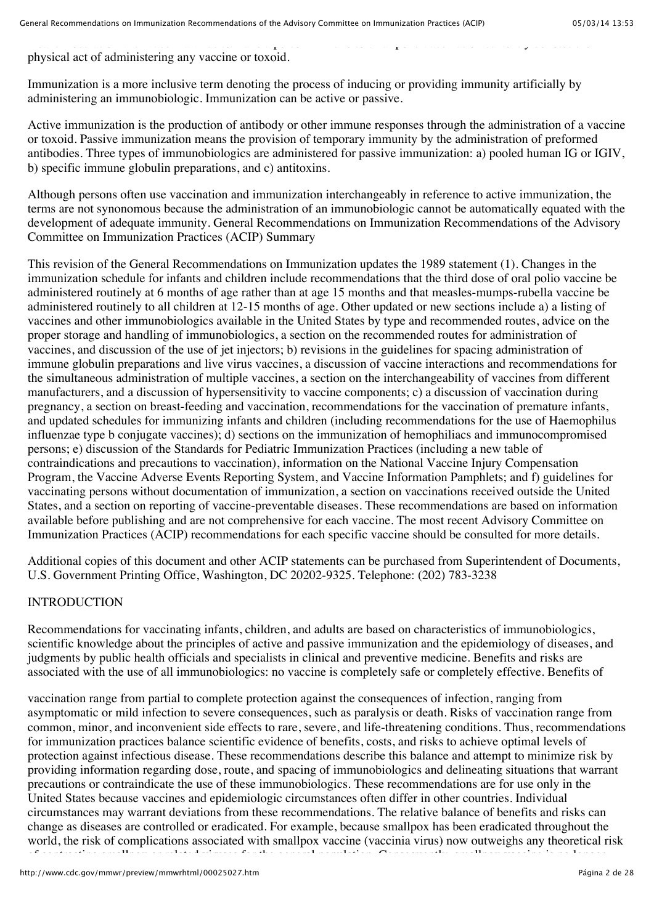meant in occurrently with vacacinia virus to make a person immune to small pox. Vaccination currently denotes the  $\mathcal{A}$ physical act of administering any vaccine or toxoid.

Immunization is a more inclusive term denoting the process of inducing or providing immunity artificially by administering an immunobiologic. Immunization can be active or passive.

Active immunization is the production of antibody or other immune responses through the administration of a vaccine or toxoid. Passive immunization means the provision of temporary immunity by the administration of preformed antibodies. Three types of immunobiologics are administered for passive immunization: a) pooled human IG or IGIV, b) specific immune globulin preparations, and c) antitoxins.

Although persons often use vaccination and immunization interchangeably in reference to active immunization, the terms are not synonomous because the administration of an immunobiologic cannot be automatically equated with the development of adequate immunity. General Recommendations on Immunization Recommendations of the Advisory Committee on Immunization Practices (ACIP) Summary

This revision of the General Recommendations on Immunization updates the 1989 statement (1). Changes in the immunization schedule for infants and children include recommendations that the third dose of oral polio vaccine be administered routinely at 6 months of age rather than at age 15 months and that measles-mumps-rubella vaccine be administered routinely to all children at 12-15 months of age. Other updated or new sections include a) a listing of vaccines and other immunobiologics available in the United States by type and recommended routes, advice on the proper storage and handling of immunobiologics, a section on the recommended routes for administration of vaccines, and discussion of the use of jet injectors; b) revisions in the guidelines for spacing administration of immune globulin preparations and live virus vaccines, a discussion of vaccine interactions and recommendations for the simultaneous administration of multiple vaccines, a section on the interchangeability of vaccines from different manufacturers, and a discussion of hypersensitivity to vaccine components; c) a discussion of vaccination during pregnancy, a section on breast-feeding and vaccination, recommendations for the vaccination of premature infants, and updated schedules for immunizing infants and children (including recommendations for the use of Haemophilus influenzae type b conjugate vaccines); d) sections on the immunization of hemophiliacs and immunocompromised persons; e) discussion of the Standards for Pediatric Immunization Practices (including a new table of contraindications and precautions to vaccination), information on the National Vaccine Injury Compensation Program, the Vaccine Adverse Events Reporting System, and Vaccine Information Pamphlets; and f) guidelines for vaccinating persons without documentation of immunization, a section on vaccinations received outside the United States, and a section on reporting of vaccine-preventable diseases. These recommendations are based on information available before publishing and are not comprehensive for each vaccine. The most recent Advisory Committee on Immunization Practices (ACIP) recommendations for each specific vaccine should be consulted for more details.

Additional copies of this document and other ACIP statements can be purchased from Superintendent of Documents, U.S. Government Printing Office, Washington, DC 20202-9325. Telephone: (202) 783-3238

#### INTRODUCTION

Recommendations for vaccinating infants, children, and adults are based on characteristics of immunobiologics, scientific knowledge about the principles of active and passive immunization and the epidemiology of diseases, and judgments by public health officials and specialists in clinical and preventive medicine. Benefits and risks are associated with the use of all immunobiologics: no vaccine is completely safe or completely effective. Benefits of

vaccination range from partial to complete protection against the consequences of infection, ranging from asymptomatic or mild infection to severe consequences, such as paralysis or death. Risks of vaccination range from common, minor, and inconvenient side effects to rare, severe, and life-threatening conditions. Thus, recommendations for immunization practices balance scientific evidence of benefits, costs, and risks to achieve optimal levels of protection against infectious disease. These recommendations describe this balance and attempt to minimize risk by providing information regarding dose, route, and spacing of immunobiologics and delineating situations that warrant precautions or contraindicate the use of these immunobiologics. These recommendations are for use only in the United States because vaccines and epidemiologic circumstances often differ in other countries. Individual circumstances may warrant deviations from these recommendations. The relative balance of benefits and risks can change as diseases are controlled or eradicated. For example, because smallpox has been eradicated throughout the world, the risk of complications associated with smallpox vaccine (vaccinia virus) now outweighs any theoretical risk of contracting smallpox or related viruses for the general population. Consequently, smallpox vaccine is no longer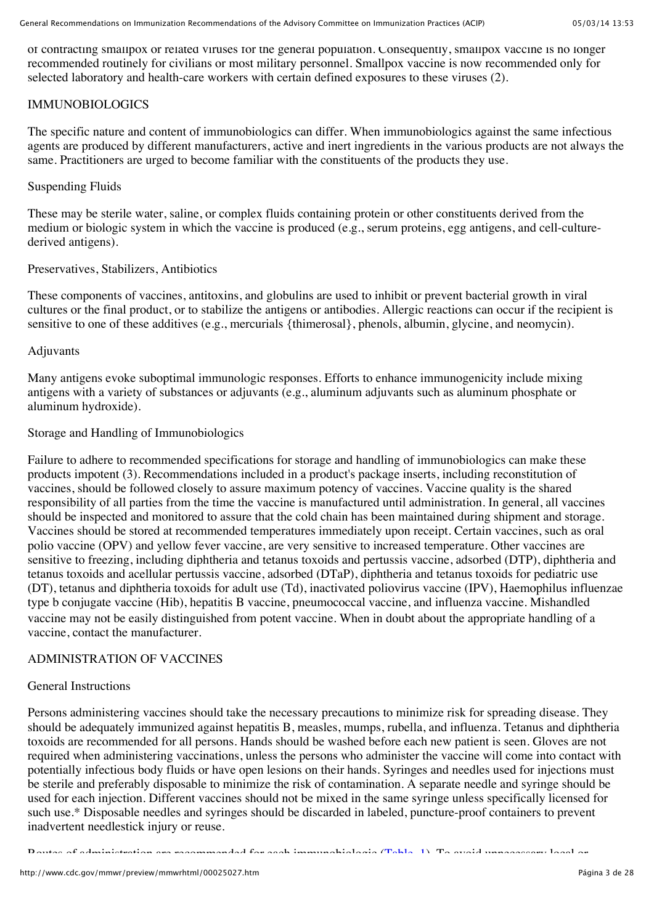of contracting smallpox or related viruses for the general population. Consequently, smallpox vaccine is no longer recommended routinely for civilians or most military personnel. Smallpox vaccine is now recommended only for selected laboratory and health-care workers with certain defined exposures to these viruses (2).

#### IMMUNOBIOLOGICS

The specific nature and content of immunobiologics can differ. When immunobiologics against the same infectious agents are produced by different manufacturers, active and inert ingredients in the various products are not always the same. Practitioners are urged to become familiar with the constituents of the products they use.

#### Suspending Fluids

These may be sterile water, saline, or complex fluids containing protein or other constituents derived from the medium or biologic system in which the vaccine is produced (e.g., serum proteins, egg antigens, and cell-culturederived antigens).

#### Preservatives, Stabilizers, Antibiotics

These components of vaccines, antitoxins, and globulins are used to inhibit or prevent bacterial growth in viral cultures or the final product, or to stabilize the antigens or antibodies. Allergic reactions can occur if the recipient is sensitive to one of these additives (e.g., mercurials {thimerosal}, phenols, albumin, glycine, and neomycin).

#### Adjuvants

Many antigens evoke suboptimal immunologic responses. Efforts to enhance immunogenicity include mixing antigens with a variety of substances or adjuvants (e.g., aluminum adjuvants such as aluminum phosphate or aluminum hydroxide).

#### Storage and Handling of Immunobiologics

Failure to adhere to recommended specifications for storage and handling of immunobiologics can make these products impotent (3). Recommendations included in a product's package inserts, including reconstitution of vaccines, should be followed closely to assure maximum potency of vaccines. Vaccine quality is the shared responsibility of all parties from the time the vaccine is manufactured until administration. In general, all vaccines should be inspected and monitored to assure that the cold chain has been maintained during shipment and storage. Vaccines should be stored at recommended temperatures immediately upon receipt. Certain vaccines, such as oral polio vaccine (OPV) and yellow fever vaccine, are very sensitive to increased temperature. Other vaccines are sensitive to freezing, including diphtheria and tetanus toxoids and pertussis vaccine, adsorbed (DTP), diphtheria and tetanus toxoids and acellular pertussis vaccine, adsorbed (DTaP), diphtheria and tetanus toxoids for pediatric use (DT), tetanus and diphtheria toxoids for adult use (Td), inactivated poliovirus vaccine (IPV), Haemophilus influenzae type b conjugate vaccine (Hib), hepatitis B vaccine, pneumococcal vaccine, and influenza vaccine. Mishandled vaccine may not be easily distinguished from potent vaccine. When in doubt about the appropriate handling of a vaccine, contact the manufacturer.

#### ADMINISTRATION OF VACCINES

#### General Instructions

Persons administering vaccines should take the necessary precautions to minimize risk for spreading disease. They should be adequately immunized against hepatitis B, measles, mumps, rubella, and influenza. Tetanus and diphtheria toxoids are recommended for all persons. Hands should be washed before each new patient is seen. Gloves are not required when administering vaccinations, unless the persons who administer the vaccine will come into contact with potentially infectious body fluids or have open lesions on their hands. Syringes and needles used for injections must be sterile and preferably disposable to minimize the risk of contamination. A separate needle and syringe should be used for each injection. Different vaccines should not be mixed in the same syringe unless specifically licensed for such use.\* Disposable needles and syringes should be discarded in labeled, puncture-proof containers to prevent inadvertent needlestick injury or reuse.

Routes of administration are recommended for each immunobiologic [\(Table\\_1\)](http://www.cdc.gov/mmwr/preview/mmwrhtml/00025027.htm#00000348.htm). To avoid unnecessary local or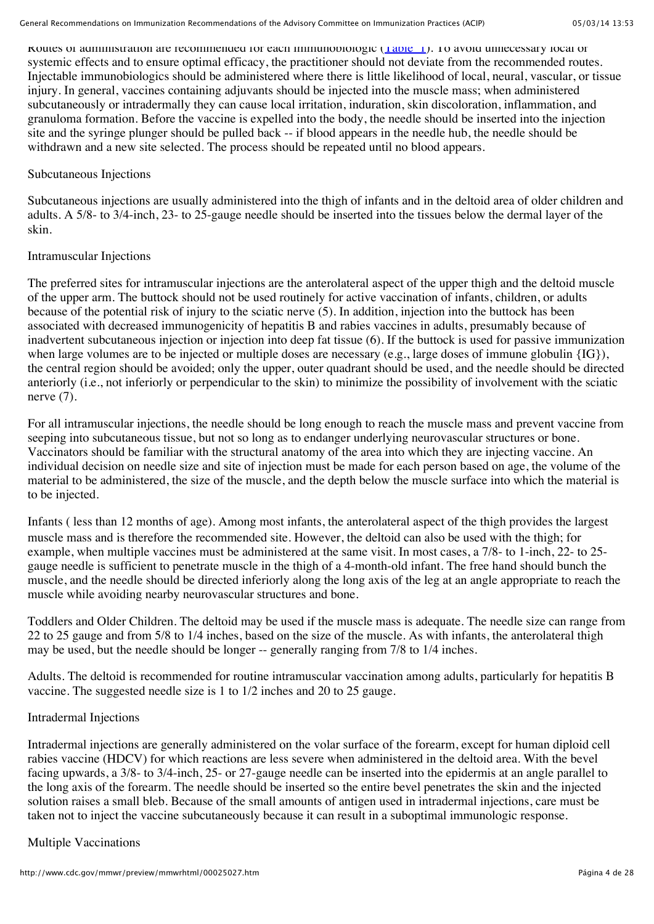Routes of administration are recommended for each immunobiologic [\(Table\\_1\)](http://www.cdc.gov/mmwr/preview/mmwrhtml/00025027.htm#00000348.htm). To avoid unnecessary local or systemic effects and to ensure optimal efficacy, the practitioner should not deviate from the recommended routes. Injectable immunobiologics should be administered where there is little likelihood of local, neural, vascular, or tissue injury. In general, vaccines containing adjuvants should be injected into the muscle mass; when administered subcutaneously or intradermally they can cause local irritation, induration, skin discoloration, inflammation, and granuloma formation. Before the vaccine is expelled into the body, the needle should be inserted into the injection site and the syringe plunger should be pulled back -- if blood appears in the needle hub, the needle should be withdrawn and a new site selected. The process should be repeated until no blood appears.

#### Subcutaneous Injections

Subcutaneous injections are usually administered into the thigh of infants and in the deltoid area of older children and adults. A 5/8- to 3/4-inch, 23- to 25-gauge needle should be inserted into the tissues below the dermal layer of the skin.

#### Intramuscular Injections

The preferred sites for intramuscular injections are the anterolateral aspect of the upper thigh and the deltoid muscle of the upper arm. The buttock should not be used routinely for active vaccination of infants, children, or adults because of the potential risk of injury to the sciatic nerve (5). In addition, injection into the buttock has been associated with decreased immunogenicity of hepatitis B and rabies vaccines in adults, presumably because of inadvertent subcutaneous injection or injection into deep fat tissue (6). If the buttock is used for passive immunization when large volumes are to be injected or multiple doses are necessary (e.g., large doses of immune globulin  $\{IG\}$ ), the central region should be avoided; only the upper, outer quadrant should be used, and the needle should be directed anteriorly (i.e., not inferiorly or perpendicular to the skin) to minimize the possibility of involvement with the sciatic nerve (7).

For all intramuscular injections, the needle should be long enough to reach the muscle mass and prevent vaccine from seeping into subcutaneous tissue, but not so long as to endanger underlying neurovascular structures or bone. Vaccinators should be familiar with the structural anatomy of the area into which they are injecting vaccine. An individual decision on needle size and site of injection must be made for each person based on age, the volume of the material to be administered, the size of the muscle, and the depth below the muscle surface into which the material is to be injected.

Infants ( less than 12 months of age). Among most infants, the anterolateral aspect of the thigh provides the largest muscle mass and is therefore the recommended site. However, the deltoid can also be used with the thigh; for example, when multiple vaccines must be administered at the same visit. In most cases, a 7/8- to 1-inch, 22- to 25 gauge needle is sufficient to penetrate muscle in the thigh of a 4-month-old infant. The free hand should bunch the muscle, and the needle should be directed inferiorly along the long axis of the leg at an angle appropriate to reach the muscle while avoiding nearby neurovascular structures and bone.

Toddlers and Older Children. The deltoid may be used if the muscle mass is adequate. The needle size can range from 22 to 25 gauge and from 5/8 to 1/4 inches, based on the size of the muscle. As with infants, the anterolateral thigh may be used, but the needle should be longer -- generally ranging from 7/8 to 1/4 inches.

Adults. The deltoid is recommended for routine intramuscular vaccination among adults, particularly for hepatitis B vaccine. The suggested needle size is 1 to 1/2 inches and 20 to 25 gauge.

#### Intradermal Injections

Intradermal injections are generally administered on the volar surface of the forearm, except for human diploid cell rabies vaccine (HDCV) for which reactions are less severe when administered in the deltoid area. With the bevel facing upwards, a 3/8- to 3/4-inch, 25- or 27-gauge needle can be inserted into the epidermis at an angle parallel to the long axis of the forearm. The needle should be inserted so the entire bevel penetrates the skin and the injected solution raises a small bleb. Because of the small amounts of antigen used in intradermal injections, care must be taken not to inject the vaccine subcutaneously because it can result in a suboptimal immunologic response.

#### Multiple Vaccinations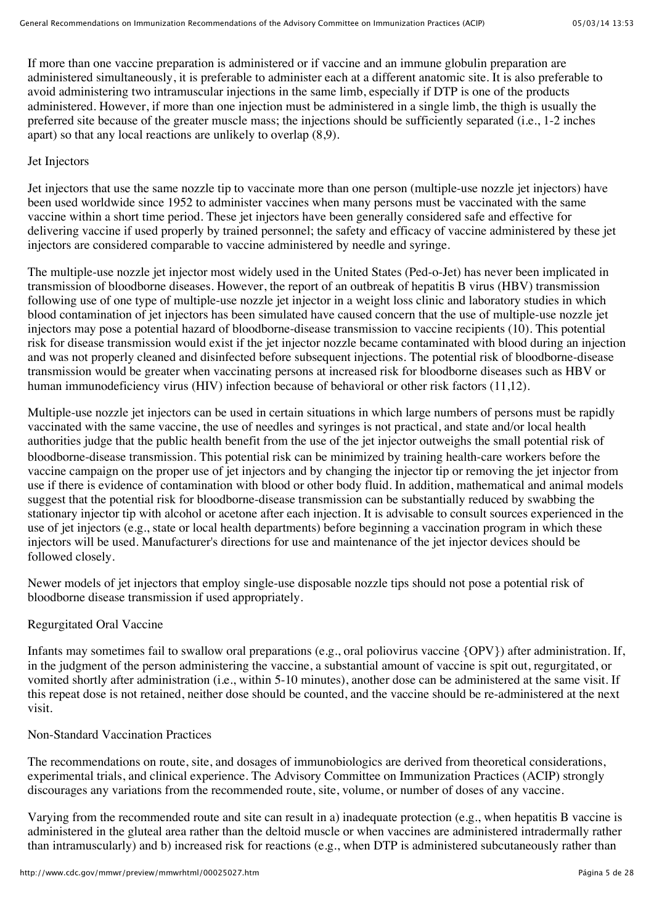If more than one vaccine preparation is administered or if vaccine and an immune globulin preparation are administered simultaneously, it is preferable to administer each at a different anatomic site. It is also preferable to avoid administering two intramuscular injections in the same limb, especially if DTP is one of the products administered. However, if more than one injection must be administered in a single limb, the thigh is usually the preferred site because of the greater muscle mass; the injections should be sufficiently separated (i.e., 1-2 inches apart) so that any local reactions are unlikely to overlap (8,9).

#### Jet Injectors

Jet injectors that use the same nozzle tip to vaccinate more than one person (multiple-use nozzle jet injectors) have been used worldwide since 1952 to administer vaccines when many persons must be vaccinated with the same vaccine within a short time period. These jet injectors have been generally considered safe and effective for delivering vaccine if used properly by trained personnel; the safety and efficacy of vaccine administered by these jet injectors are considered comparable to vaccine administered by needle and syringe.

The multiple-use nozzle jet injector most widely used in the United States (Ped-o-Jet) has never been implicated in transmission of bloodborne diseases. However, the report of an outbreak of hepatitis B virus (HBV) transmission following use of one type of multiple-use nozzle jet injector in a weight loss clinic and laboratory studies in which blood contamination of jet injectors has been simulated have caused concern that the use of multiple-use nozzle jet injectors may pose a potential hazard of bloodborne-disease transmission to vaccine recipients (10). This potential risk for disease transmission would exist if the jet injector nozzle became contaminated with blood during an injection and was not properly cleaned and disinfected before subsequent injections. The potential risk of bloodborne-disease transmission would be greater when vaccinating persons at increased risk for bloodborne diseases such as HBV or human immunodeficiency virus (HIV) infection because of behavioral or other risk factors (11,12).

Multiple-use nozzle jet injectors can be used in certain situations in which large numbers of persons must be rapidly vaccinated with the same vaccine, the use of needles and syringes is not practical, and state and/or local health authorities judge that the public health benefit from the use of the jet injector outweighs the small potential risk of bloodborne-disease transmission. This potential risk can be minimized by training health-care workers before the vaccine campaign on the proper use of jet injectors and by changing the injector tip or removing the jet injector from use if there is evidence of contamination with blood or other body fluid. In addition, mathematical and animal models suggest that the potential risk for bloodborne-disease transmission can be substantially reduced by swabbing the stationary injector tip with alcohol or acetone after each injection. It is advisable to consult sources experienced in the use of jet injectors (e.g., state or local health departments) before beginning a vaccination program in which these injectors will be used. Manufacturer's directions for use and maintenance of the jet injector devices should be followed closely.

Newer models of jet injectors that employ single-use disposable nozzle tips should not pose a potential risk of bloodborne disease transmission if used appropriately.

#### Regurgitated Oral Vaccine

Infants may sometimes fail to swallow oral preparations (e.g., oral poliovirus vaccine {OPV}) after administration. If, in the judgment of the person administering the vaccine, a substantial amount of vaccine is spit out, regurgitated, or vomited shortly after administration (i.e., within 5-10 minutes), another dose can be administered at the same visit. If this repeat dose is not retained, neither dose should be counted, and the vaccine should be re-administered at the next visit.

#### Non-Standard Vaccination Practices

The recommendations on route, site, and dosages of immunobiologics are derived from theoretical considerations, experimental trials, and clinical experience. The Advisory Committee on Immunization Practices (ACIP) strongly discourages any variations from the recommended route, site, volume, or number of doses of any vaccine.

Varying from the recommended route and site can result in a) inadequate protection (e.g., when hepatitis B vaccine is administered in the gluteal area rather than the deltoid muscle or when vaccines are administered intradermally rather than intramuscularly) and b) increased risk for reactions (e.g., when DTP is administered subcutaneously rather than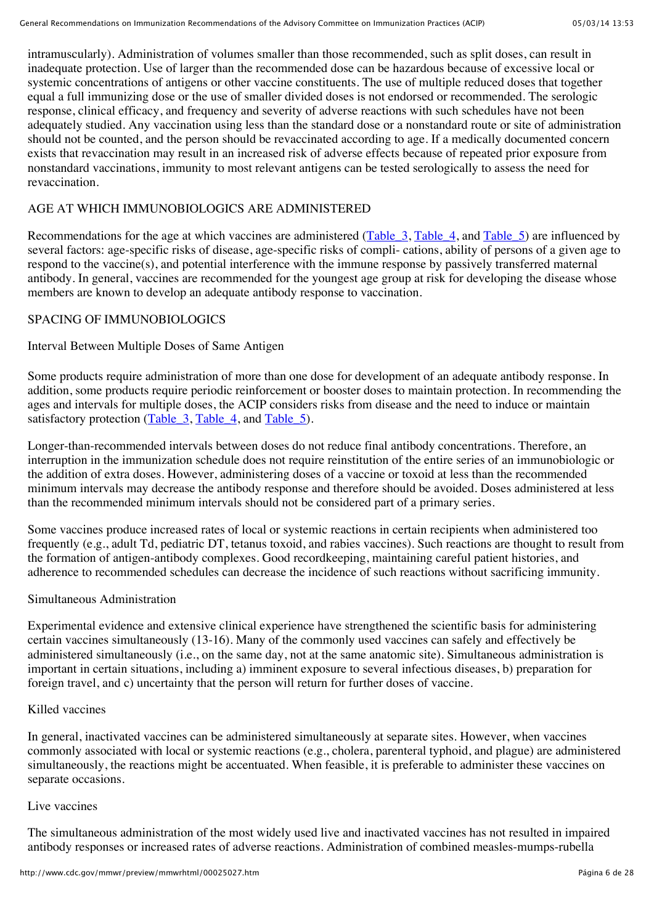intramuscularly). Administration of volumes smaller than those recommended, such as split doses, can result in inadequate protection. Use of larger than the recommended dose can be hazardous because of excessive local or systemic concentrations of antigens or other vaccine constituents. The use of multiple reduced doses that together equal a full immunizing dose or the use of smaller divided doses is not endorsed or recommended. The serologic response, clinical efficacy, and frequency and severity of adverse reactions with such schedules have not been adequately studied. Any vaccination using less than the standard dose or a nonstandard route or site of administration should not be counted, and the person should be revaccinated according to age. If a medically documented concern exists that revaccination may result in an increased risk of adverse effects because of repeated prior exposure from nonstandard vaccinations, immunity to most relevant antigens can be tested serologically to assess the need for revaccination.

#### AGE AT WHICH IMMUNOBIOLOGICS ARE ADMINISTERED

Recommendations for the age at which vaccines are administered (Table 3, Table 4, and Table 5) are influenced by several factors: age-specific risks of disease, age-specific risks of compli- cations, ability of persons of a given age to respond to the vaccine(s), and potential interference with the immune response by passively transferred maternal antibody. In general, vaccines are recommended for the youngest age group at risk for developing the disease whose members are known to develop an adequate antibody response to vaccination.

### SPACING OF IMMUNOBIOLOGICS

#### Interval Between Multiple Doses of Same Antigen

Some products require administration of more than one dose for development of an adequate antibody response. In addition, some products require periodic reinforcement or booster doses to maintain protection. In recommending the ages and intervals for multiple doses, the ACIP considers risks from disease and the need to induce or maintain satisfactory protection (Table  $3$ , Table  $4$ , and Table  $5$ ).

Longer-than-recommended intervals between doses do not reduce final antibody concentrations. Therefore, an interruption in the immunization schedule does not require reinstitution of the entire series of an immunobiologic or the addition of extra doses. However, administering doses of a vaccine or toxoid at less than the recommended minimum intervals may decrease the antibody response and therefore should be avoided. Doses administered at less than the recommended minimum intervals should not be considered part of a primary series.

Some vaccines produce increased rates of local or systemic reactions in certain recipients when administered too frequently (e.g., adult Td, pediatric DT, tetanus toxoid, and rabies vaccines). Such reactions are thought to result from the formation of antigen-antibody complexes. Good recordkeeping, maintaining careful patient histories, and adherence to recommended schedules can decrease the incidence of such reactions without sacrificing immunity.

#### Simultaneous Administration

Experimental evidence and extensive clinical experience have strengthened the scientific basis for administering certain vaccines simultaneously (13-16). Many of the commonly used vaccines can safely and effectively be administered simultaneously (i.e., on the same day, not at the same anatomic site). Simultaneous administration is important in certain situations, including a) imminent exposure to several infectious diseases, b) preparation for foreign travel, and c) uncertainty that the person will return for further doses of vaccine.

#### Killed vaccines

In general, inactivated vaccines can be administered simultaneously at separate sites. However, when vaccines commonly associated with local or systemic reactions (e.g., cholera, parenteral typhoid, and plague) are administered simultaneously, the reactions might be accentuated. When feasible, it is preferable to administer these vaccines on separate occasions.

#### Live vaccines

The simultaneous administration of the most widely used live and inactivated vaccines has not resulted in impaired antibody responses or increased rates of adverse reactions. Administration of combined measles-mumps-rubella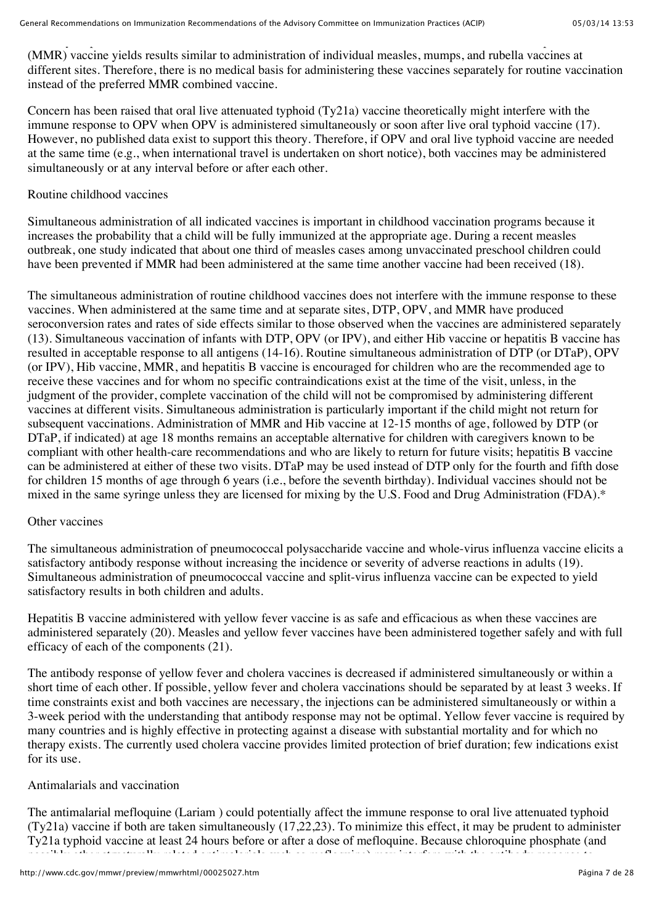antibody responses or increased rates of adverse reactions. Administration of combined measles-mumps-rubella (MMR) vaccine yields results similar to administration of individual measles, mumps, and rubella vaccines at different sites. Therefore, there is no medical basis for administering these vaccines separately for routine vaccination instead of the preferred MMR combined vaccine.

Concern has been raised that oral live attenuated typhoid  $(Tv21a)$  vaccine theoretically might interfere with the immune response to OPV when OPV is administered simultaneously or soon after live oral typhoid vaccine (17). However, no published data exist to support this theory. Therefore, if OPV and oral live typhoid vaccine are needed at the same time (e.g., when international travel is undertaken on short notice), both vaccines may be administered simultaneously or at any interval before or after each other.

#### Routine childhood vaccines

Simultaneous administration of all indicated vaccines is important in childhood vaccination programs because it increases the probability that a child will be fully immunized at the appropriate age. During a recent measles outbreak, one study indicated that about one third of measles cases among unvaccinated preschool children could have been prevented if MMR had been administered at the same time another vaccine had been received (18).

The simultaneous administration of routine childhood vaccines does not interfere with the immune response to these vaccines. When administered at the same time and at separate sites, DTP, OPV, and MMR have produced seroconversion rates and rates of side effects similar to those observed when the vaccines are administered separately (13). Simultaneous vaccination of infants with DTP, OPV (or IPV), and either Hib vaccine or hepatitis B vaccine has resulted in acceptable response to all antigens (14-16). Routine simultaneous administration of DTP (or DTaP), OPV (or IPV), Hib vaccine, MMR, and hepatitis B vaccine is encouraged for children who are the recommended age to receive these vaccines and for whom no specific contraindications exist at the time of the visit, unless, in the judgment of the provider, complete vaccination of the child will not be compromised by administering different vaccines at different visits. Simultaneous administration is particularly important if the child might not return for subsequent vaccinations. Administration of MMR and Hib vaccine at 12-15 months of age, followed by DTP (or DTaP, if indicated) at age 18 months remains an acceptable alternative for children with caregivers known to be compliant with other health-care recommendations and who are likely to return for future visits; hepatitis B vaccine can be administered at either of these two visits. DTaP may be used instead of DTP only for the fourth and fifth dose for children 15 months of age through 6 years (i.e., before the seventh birthday). Individual vaccines should not be mixed in the same syringe unless they are licensed for mixing by the U.S. Food and Drug Administration (FDA).\*

#### Other vaccines

The simultaneous administration of pneumococcal polysaccharide vaccine and whole-virus influenza vaccine elicits a satisfactory antibody response without increasing the incidence or severity of adverse reactions in adults (19). Simultaneous administration of pneumococcal vaccine and split-virus influenza vaccine can be expected to yield satisfactory results in both children and adults.

Hepatitis B vaccine administered with yellow fever vaccine is as safe and efficacious as when these vaccines are administered separately (20). Measles and yellow fever vaccines have been administered together safely and with full efficacy of each of the components (21).

The antibody response of yellow fever and cholera vaccines is decreased if administered simultaneously or within a short time of each other. If possible, yellow fever and cholera vaccinations should be separated by at least 3 weeks. If time constraints exist and both vaccines are necessary, the injections can be administered simultaneously or within a 3-week period with the understanding that antibody response may not be optimal. Yellow fever vaccine is required by many countries and is highly effective in protecting against a disease with substantial mortality and for which no therapy exists. The currently used cholera vaccine provides limited protection of brief duration; few indications exist for its use.

#### Antimalarials and vaccination

The antimalarial mefloquine (Lariam ) could potentially affect the immune response to oral live attenuated typhoid (Ty21a) vaccine if both are taken simultaneously (17,22,23). To minimize this effect, it may be prudent to administer Ty21a typhoid vaccine at least 24 hours before or after a dose of mefloquine. Because chloroquine phosphate (and possibly other structurally related antimalarials such as mefloquine) may interfere with the antibody response to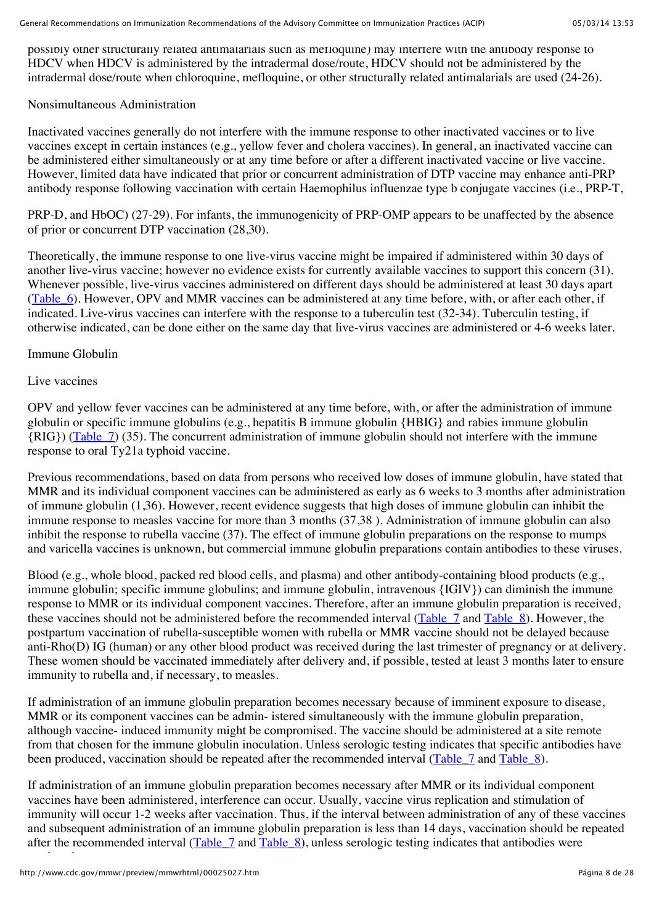possibly other structurally related antimalarials such as mefloquine) may interfere with the antibody response to HDCV when HDCV is administered by the intradermal dose/route, HDCV should not be administered by the intradermal dose/route when chloroquine, mefloquine, or other structurally related antimalarials are used (24-26).

#### Nonsimultaneous Administration

Inactivated vaccines generally do not interfere with the immune response to other inactivated vaccines or to live vaccines except in certain instances (e.g., yellow fever and cholera vaccines). In general, an inactivated vaccine can be administered either simultaneously or at any time before or after a different inactivated vaccine or live vaccine. However, limited data have indicated that prior or concurrent administration of DTP vaccine may enhance anti-PRP antibody response following vaccination with certain Haemophilus influenzae type b conjugate vaccines (i.e., PRP-T,

PRP-D, and HbOC) (27-29). For infants, the immunogenicity of PRP-OMP appears to be unaffected by the absence of prior or concurrent DTP vaccination (28,30).

Theoretically, the immune response to one live-virus vaccine might be impaired if administered within 30 days of another live-virus vaccine; however no evidence exists for currently available vaccines to support this concern (31). Whenever possible, live-virus vaccines administered on different days should be administered at least 30 days apart [\(Table\\_6\)](http://www.cdc.gov/mmwr/preview/mmwrhtml/00025027.htm#00000353.htm). However, OPV and MMR vaccines can be administered at any time before, with, or after each other, if indicated. Live-virus vaccines can interfere with the response to a tuberculin test (32-34). Tuberculin testing, if otherwise indicated, can be done either on the same day that live-virus vaccines are administered or 4-6 weeks later.

#### Immune Globulin

#### Live vaccines

OPV and yellow fever vaccines can be administered at any time before, with, or after the administration of immune globulin or specific immune globulins (e.g., hepatitis B immune globulin {HBIG} and rabies immune globulin {RIG}) [\(Table\\_7](http://www.cdc.gov/mmwr/preview/mmwrhtml/00025027.htm#00000354.htm)) (35). The concurrent administration of immune globulin should not interfere with the immune response to oral Ty21a typhoid vaccine.

Previous recommendations, based on data from persons who received low doses of immune globulin, have stated that MMR and its individual component vaccines can be administered as early as 6 weeks to 3 months after administration of immune globulin (1,36). However, recent evidence suggests that high doses of immune globulin can inhibit the immune response to measles vaccine for more than 3 months (37,38 ). Administration of immune globulin can also inhibit the response to rubella vaccine (37). The effect of immune globulin preparations on the response to mumps and varicella vaccines is unknown, but commercial immune globulin preparations contain antibodies to these viruses.

Blood (e.g., whole blood, packed red blood cells, and plasma) and other antibody-containing blood products (e.g., immune globulin; specific immune globulins; and immune globulin, intravenous {IGIV}) can diminish the immune response to MMR or its individual component vaccines. Therefore, after an immune globulin preparation is received, these vaccines should not be administered before the recommended interval (Table  $\overline{7}$  and Table  $\overline{8}$ ). However, the postpartum vaccination of rubella-susceptible women with rubella or MMR vaccine should not be delayed because anti-Rho(D) IG (human) or any other blood product was received during the last trimester of pregnancy or at delivery. These women should be vaccinated immediately after delivery and, if possible, tested at least 3 months later to ensure immunity to rubella and, if necessary, to measles.

If administration of an immune globulin preparation becomes necessary because of imminent exposure to disease, MMR or its component vaccines can be admin- istered simultaneously with the immune globulin preparation, although vaccine- induced immunity might be compromised. The vaccine should be administered at a site remote from that chosen for the immune globulin inoculation. Unless serologic testing indicates that specific antibodies have been produced, vaccination should be repeated after the recommended interval (Table 7 and Table 8).

If administration of an immune globulin preparation becomes necessary after MMR or its individual component vaccines have been administered, interference can occur. Usually, vaccine virus replication and stimulation of immunity will occur 1-2 weeks after vaccination. Thus, if the interval between administration of any of these vaccines and subsequent administration of an immune globulin preparation is less than 14 days, vaccination should be repeated after the recommended interval ( $Table 7$  and  $Table 8$ ), unless serologic testing indicates that antibodies were

produced.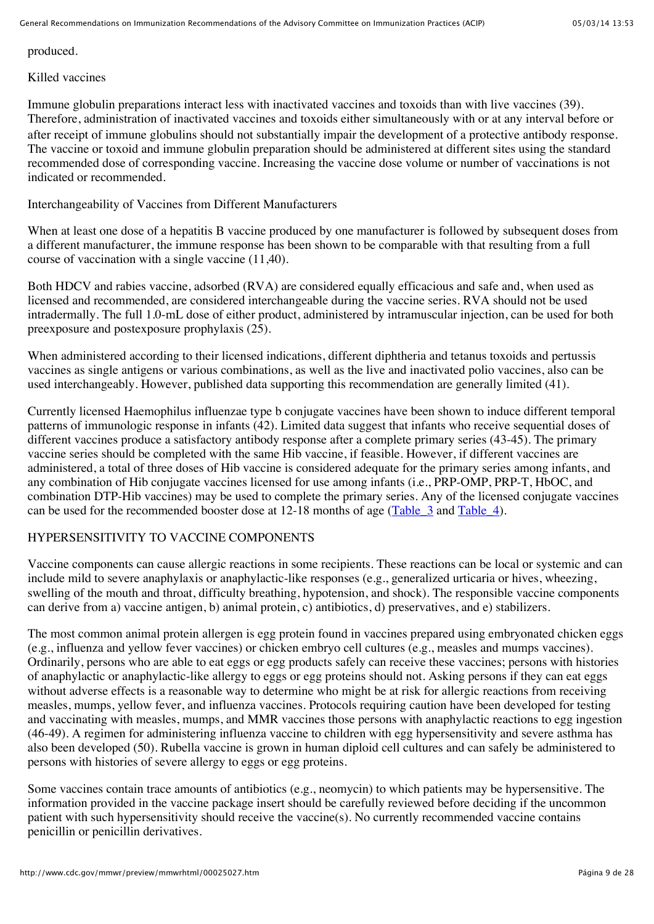produced.

Killed vaccines

Immune globulin preparations interact less with inactivated vaccines and toxoids than with live vaccines (39). Therefore, administration of inactivated vaccines and toxoids either simultaneously with or at any interval before or after receipt of immune globulins should not substantially impair the development of a protective antibody response. The vaccine or toxoid and immune globulin preparation should be administered at different sites using the standard recommended dose of corresponding vaccine. Increasing the vaccine dose volume or number of vaccinations is not indicated or recommended.

#### Interchangeability of Vaccines from Different Manufacturers

When at least one dose of a hepatitis B vaccine produced by one manufacturer is followed by subsequent doses from a different manufacturer, the immune response has been shown to be comparable with that resulting from a full course of vaccination with a single vaccine (11,40).

Both HDCV and rabies vaccine, adsorbed (RVA) are considered equally efficacious and safe and, when used as licensed and recommended, are considered interchangeable during the vaccine series. RVA should not be used intradermally. The full 1.0-mL dose of either product, administered by intramuscular injection, can be used for both preexposure and postexposure prophylaxis (25).

When administered according to their licensed indications, different diphtheria and tetanus toxoids and pertussis vaccines as single antigens or various combinations, as well as the live and inactivated polio vaccines, also can be used interchangeably. However, published data supporting this recommendation are generally limited (41).

Currently licensed Haemophilus influenzae type b conjugate vaccines have been shown to induce different temporal patterns of immunologic response in infants (42). Limited data suggest that infants who receive sequential doses of different vaccines produce a satisfactory antibody response after a complete primary series (43-45). The primary vaccine series should be completed with the same Hib vaccine, if feasible. However, if different vaccines are administered, a total of three doses of Hib vaccine is considered adequate for the primary series among infants, and any combination of Hib conjugate vaccines licensed for use among infants (i.e., PRP-OMP, PRP-T, HbOC, and combination DTP-Hib vaccines) may be used to complete the primary series. Any of the licensed conjugate vaccines can be used for the recommended booster dose at 12-18 months of age [\(Table\\_3](http://www.cdc.gov/mmwr/preview/mmwrhtml/00025027.htm#00000350.htm) and [Table\\_4\)](http://www.cdc.gov/mmwr/preview/mmwrhtml/00025027.htm#00000351.htm).

## HYPERSENSITIVITY TO VACCINE COMPONENTS

Vaccine components can cause allergic reactions in some recipients. These reactions can be local or systemic and can include mild to severe anaphylaxis or anaphylactic-like responses (e.g., generalized urticaria or hives, wheezing, swelling of the mouth and throat, difficulty breathing, hypotension, and shock). The responsible vaccine components can derive from a) vaccine antigen, b) animal protein, c) antibiotics, d) preservatives, and e) stabilizers.

The most common animal protein allergen is egg protein found in vaccines prepared using embryonated chicken eggs (e.g., influenza and yellow fever vaccines) or chicken embryo cell cultures (e.g., measles and mumps vaccines). Ordinarily, persons who are able to eat eggs or egg products safely can receive these vaccines; persons with histories of anaphylactic or anaphylactic-like allergy to eggs or egg proteins should not. Asking persons if they can eat eggs without adverse effects is a reasonable way to determine who might be at risk for allergic reactions from receiving measles, mumps, yellow fever, and influenza vaccines. Protocols requiring caution have been developed for testing and vaccinating with measles, mumps, and MMR vaccines those persons with anaphylactic reactions to egg ingestion (46-49). A regimen for administering influenza vaccine to children with egg hypersensitivity and severe asthma has also been developed (50). Rubella vaccine is grown in human diploid cell cultures and can safely be administered to persons with histories of severe allergy to eggs or egg proteins.

Some vaccines contain trace amounts of antibiotics (e.g., neomycin) to which patients may be hypersensitive. The information provided in the vaccine package insert should be carefully reviewed before deciding if the uncommon patient with such hypersensitivity should receive the vaccine(s). No currently recommended vaccine contains penicillin or penicillin derivatives.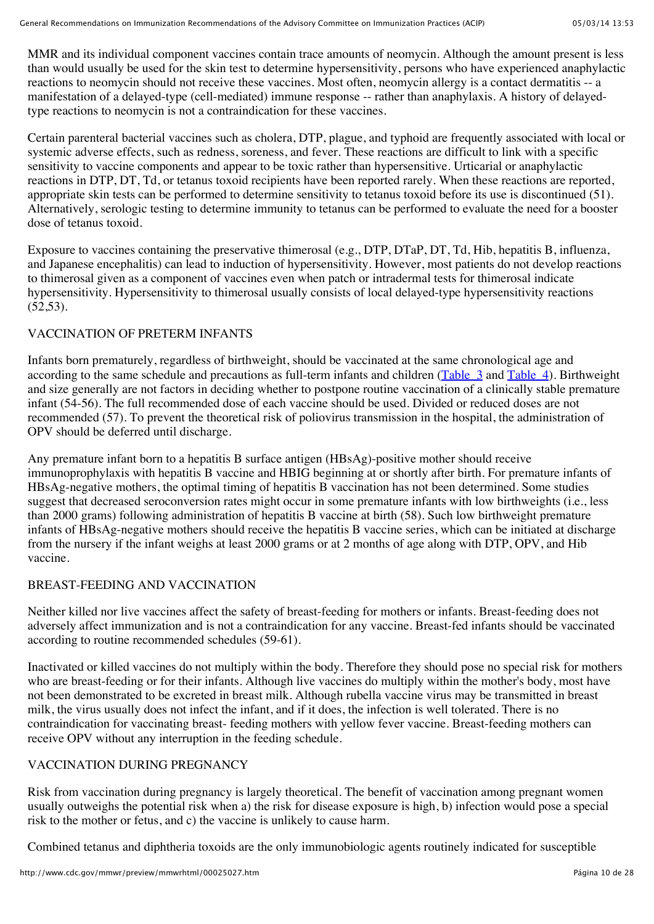MMR and its individual component vaccines contain trace amounts of neomycin. Although the amount present is less than would usually be used for the skin test to determine hypersensitivity, persons who have experienced anaphylactic reactions to neomycin should not receive these vaccines. Most often, neomycin allergy is a contact dermatitis -- a manifestation of a delayed-type (cell-mediated) immune response -- rather than anaphylaxis. A history of delayedtype reactions to neomycin is not a contraindication for these vaccines.

Certain parenteral bacterial vaccines such as cholera, DTP, plague, and typhoid are frequently associated with local or systemic adverse effects, such as redness, soreness, and fever. These reactions are difficult to link with a specific sensitivity to vaccine components and appear to be toxic rather than hypersensitive. Urticarial or anaphylactic reactions in DTP, DT, Td, or tetanus toxoid recipients have been reported rarely. When these reactions are reported, appropriate skin tests can be performed to determine sensitivity to tetanus toxoid before its use is discontinued (51). Alternatively, serologic testing to determine immunity to tetanus can be performed to evaluate the need for a booster dose of tetanus toxoid.

Exposure to vaccines containing the preservative thimerosal (e.g., DTP, DTaP, DT, Td, Hib, hepatitis B, influenza, and Japanese encephalitis) can lead to induction of hypersensitivity. However, most patients do not develop reactions to thimerosal given as a component of vaccines even when patch or intradermal tests for thimerosal indicate hypersensitivity. Hypersensitivity to thimerosal usually consists of local delayed-type hypersensitivity reactions  $(52,53)$ .

#### VACCINATION OF PRETERM INFANTS

Infants born prematurely, regardless of birthweight, should be vaccinated at the same chronological age and according to the same schedule and precautions as full-term infants and children ([Table\\_3](http://www.cdc.gov/mmwr/preview/mmwrhtml/00025027.htm#00000350.htm) and [Table\\_4\)](http://www.cdc.gov/mmwr/preview/mmwrhtml/00025027.htm#00000351.htm). Birthweight and size generally are not factors in deciding whether to postpone routine vaccination of a clinically stable premature infant (54-56). The full recommended dose of each vaccine should be used. Divided or reduced doses are not recommended (57). To prevent the theoretical risk of poliovirus transmission in the hospital, the administration of OPV should be deferred until discharge.

Any premature infant born to a hepatitis B surface antigen (HBsAg)-positive mother should receive immunoprophylaxis with hepatitis B vaccine and HBIG beginning at or shortly after birth. For premature infants of HBsAg-negative mothers, the optimal timing of hepatitis B vaccination has not been determined. Some studies suggest that decreased seroconversion rates might occur in some premature infants with low birthweights (i.e., less than 2000 grams) following administration of hepatitis B vaccine at birth (58). Such low birthweight premature infants of HBsAg-negative mothers should receive the hepatitis B vaccine series, which can be initiated at discharge from the nursery if the infant weighs at least 2000 grams or at 2 months of age along with DTP, OPV, and Hib vaccine.

### BREAST-FEEDING AND VACCINATION

Neither killed nor live vaccines affect the safety of breast-feeding for mothers or infants. Breast-feeding does not adversely affect immunization and is not a contraindication for any vaccine. Breast-fed infants should be vaccinated according to routine recommended schedules (59-61).

Inactivated or killed vaccines do not multiply within the body. Therefore they should pose no special risk for mothers who are breast-feeding or for their infants. Although live vaccines do multiply within the mother's body, most have not been demonstrated to be excreted in breast milk. Although rubella vaccine virus may be transmitted in breast milk, the virus usually does not infect the infant, and if it does, the infection is well tolerated. There is no contraindication for vaccinating breast- feeding mothers with yellow fever vaccine. Breast-feeding mothers can receive OPV without any interruption in the feeding schedule.

### VACCINATION DURING PREGNANCY

Risk from vaccination during pregnancy is largely theoretical. The benefit of vaccination among pregnant women usually outweighs the potential risk when a) the risk for disease exposure is high, b) infection would pose a special risk to the mother or fetus, and c) the vaccine is unlikely to cause harm.

Combined tetanus and diphtheria toxoids are the only immunobiologic agents routinely indicated for susceptible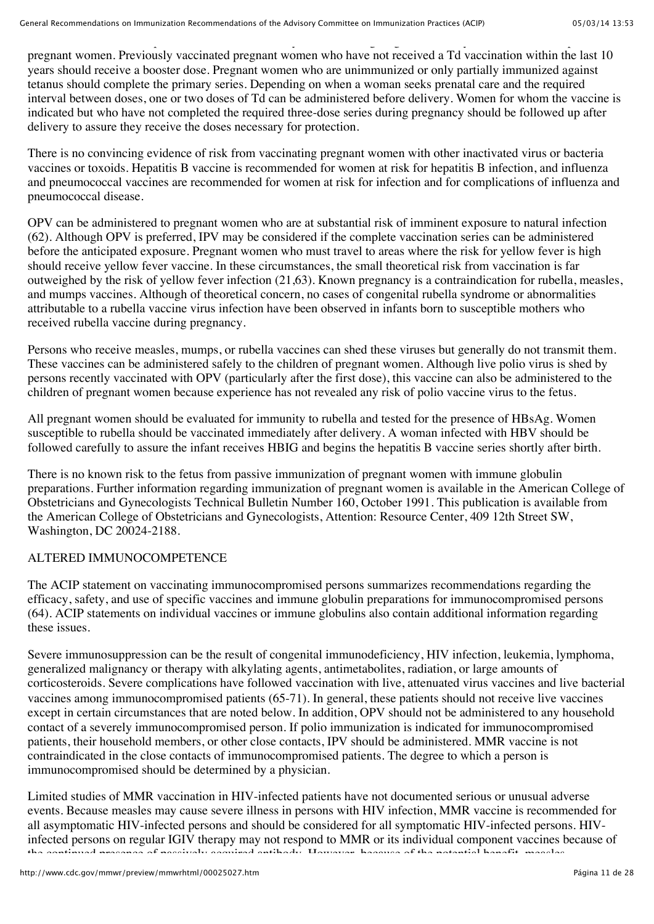Combined tetanus and diphtheria toxoids are the only immunobiologic agents routinely indicated for susceptible pregnant women. Previously vaccinated pregnant women who have not received a Td vaccination within the last 10 years should receive a booster dose. Pregnant women who are unimmunized or only partially immunized against tetanus should complete the primary series. Depending on when a woman seeks prenatal care and the required interval between doses, one or two doses of Td can be administered before delivery. Women for whom the vaccine is indicated but who have not completed the required three-dose series during pregnancy should be followed up after delivery to assure they receive the doses necessary for protection.

There is no convincing evidence of risk from vaccinating pregnant women with other inactivated virus or bacteria vaccines or toxoids. Hepatitis B vaccine is recommended for women at risk for hepatitis B infection, and influenza and pneumococcal vaccines are recommended for women at risk for infection and for complications of influenza and pneumococcal disease.

OPV can be administered to pregnant women who are at substantial risk of imminent exposure to natural infection (62). Although OPV is preferred, IPV may be considered if the complete vaccination series can be administered before the anticipated exposure. Pregnant women who must travel to areas where the risk for yellow fever is high should receive yellow fever vaccine. In these circumstances, the small theoretical risk from vaccination is far outweighed by the risk of yellow fever infection (21,63). Known pregnancy is a contraindication for rubella, measles, and mumps vaccines. Although of theoretical concern, no cases of congenital rubella syndrome or abnormalities attributable to a rubella vaccine virus infection have been observed in infants born to susceptible mothers who received rubella vaccine during pregnancy.

Persons who receive measles, mumps, or rubella vaccines can shed these viruses but generally do not transmit them. These vaccines can be administered safely to the children of pregnant women. Although live polio virus is shed by persons recently vaccinated with OPV (particularly after the first dose), this vaccine can also be administered to the children of pregnant women because experience has not revealed any risk of polio vaccine virus to the fetus.

All pregnant women should be evaluated for immunity to rubella and tested for the presence of HBsAg. Women susceptible to rubella should be vaccinated immediately after delivery. A woman infected with HBV should be followed carefully to assure the infant receives HBIG and begins the hepatitis B vaccine series shortly after birth.

There is no known risk to the fetus from passive immunization of pregnant women with immune globulin preparations. Further information regarding immunization of pregnant women is available in the American College of Obstetricians and Gynecologists Technical Bulletin Number 160, October 1991. This publication is available from the American College of Obstetricians and Gynecologists, Attention: Resource Center, 409 12th Street SW, Washington, DC 20024-2188.

#### ALTERED IMMUNOCOMPETENCE

The ACIP statement on vaccinating immunocompromised persons summarizes recommendations regarding the efficacy, safety, and use of specific vaccines and immune globulin preparations for immunocompromised persons (64). ACIP statements on individual vaccines or immune globulins also contain additional information regarding these issues.

Severe immunosuppression can be the result of congenital immunodeficiency, HIV infection, leukemia, lymphoma, generalized malignancy or therapy with alkylating agents, antimetabolites, radiation, or large amounts of corticosteroids. Severe complications have followed vaccination with live, attenuated virus vaccines and live bacterial vaccines among immunocompromised patients (65-71). In general, these patients should not receive live vaccines except in certain circumstances that are noted below. In addition, OPV should not be administered to any household contact of a severely immunocompromised person. If polio immunization is indicated for immunocompromised patients, their household members, or other close contacts, IPV should be administered. MMR vaccine is not contraindicated in the close contacts of immunocompromised patients. The degree to which a person is immunocompromised should be determined by a physician.

Limited studies of MMR vaccination in HIV-infected patients have not documented serious or unusual adverse events. Because measles may cause severe illness in persons with HIV infection, MMR vaccine is recommended for all asymptomatic HIV-infected persons and should be considered for all symptomatic HIV-infected persons. HIVinfected persons on regular IGIV therapy may not respond to MMR or its individual component vaccines because of the continued presence of passively acquired antibody. However, because of the potential benefit, measles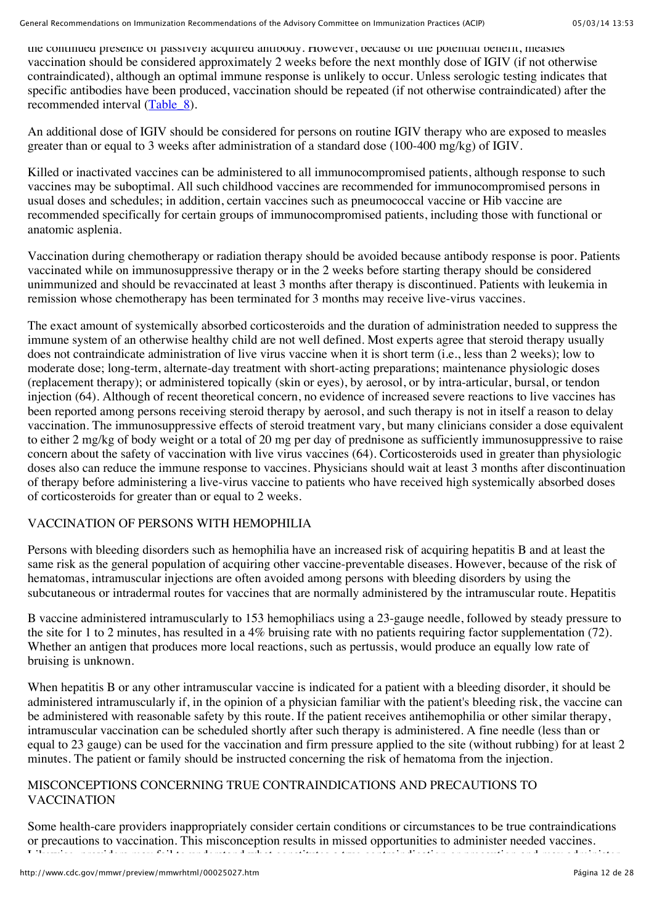the continued presence of passively acquired antibody. However, because of the potential benefit, measles vaccination should be considered approximately 2 weeks before the next monthly dose of IGIV (if not otherwise contraindicated), although an optimal immune response is unlikely to occur. Unless serologic testing indicates that specific antibodies have been produced, vaccination should be repeated (if not otherwise contraindicated) after the recommended interval [\(Table\\_8\)](http://www.cdc.gov/mmwr/preview/mmwrhtml/00025027.htm#00000355.htm).

An additional dose of IGIV should be considered for persons on routine IGIV therapy who are exposed to measles greater than or equal to 3 weeks after administration of a standard dose (100-400 mg/kg) of IGIV.

Killed or inactivated vaccines can be administered to all immunocompromised patients, although response to such vaccines may be suboptimal. All such childhood vaccines are recommended for immunocompromised persons in usual doses and schedules; in addition, certain vaccines such as pneumococcal vaccine or Hib vaccine are recommended specifically for certain groups of immunocompromised patients, including those with functional or anatomic asplenia.

Vaccination during chemotherapy or radiation therapy should be avoided because antibody response is poor. Patients vaccinated while on immunosuppressive therapy or in the 2 weeks before starting therapy should be considered unimmunized and should be revaccinated at least 3 months after therapy is discontinued. Patients with leukemia in remission whose chemotherapy has been terminated for 3 months may receive live-virus vaccines.

The exact amount of systemically absorbed corticosteroids and the duration of administration needed to suppress the immune system of an otherwise healthy child are not well defined. Most experts agree that steroid therapy usually does not contraindicate administration of live virus vaccine when it is short term (i.e., less than 2 weeks); low to moderate dose; long-term, alternate-day treatment with short-acting preparations; maintenance physiologic doses (replacement therapy); or administered topically (skin or eyes), by aerosol, or by intra-articular, bursal, or tendon injection (64). Although of recent theoretical concern, no evidence of increased severe reactions to live vaccines has been reported among persons receiving steroid therapy by aerosol, and such therapy is not in itself a reason to delay vaccination. The immunosuppressive effects of steroid treatment vary, but many clinicians consider a dose equivalent to either 2 mg/kg of body weight or a total of 20 mg per day of prednisone as sufficiently immunosuppressive to raise concern about the safety of vaccination with live virus vaccines (64). Corticosteroids used in greater than physiologic doses also can reduce the immune response to vaccines. Physicians should wait at least 3 months after discontinuation of therapy before administering a live-virus vaccine to patients who have received high systemically absorbed doses of corticosteroids for greater than or equal to 2 weeks.

### VACCINATION OF PERSONS WITH HEMOPHILIA

Persons with bleeding disorders such as hemophilia have an increased risk of acquiring hepatitis B and at least the same risk as the general population of acquiring other vaccine-preventable diseases. However, because of the risk of hematomas, intramuscular injections are often avoided among persons with bleeding disorders by using the subcutaneous or intradermal routes for vaccines that are normally administered by the intramuscular route. Hepatitis

B vaccine administered intramuscularly to 153 hemophiliacs using a 23-gauge needle, followed by steady pressure to the site for 1 to 2 minutes, has resulted in a 4% bruising rate with no patients requiring factor supplementation (72). Whether an antigen that produces more local reactions, such as pertussis, would produce an equally low rate of bruising is unknown.

When hepatitis B or any other intramuscular vaccine is indicated for a patient with a bleeding disorder, it should be administered intramuscularly if, in the opinion of a physician familiar with the patient's bleeding risk, the vaccine can be administered with reasonable safety by this route. If the patient receives antihemophilia or other similar therapy, intramuscular vaccination can be scheduled shortly after such therapy is administered. A fine needle (less than or equal to 23 gauge) can be used for the vaccination and firm pressure applied to the site (without rubbing) for at least 2 minutes. The patient or family should be instructed concerning the risk of hematoma from the injection.

### MISCONCEPTIONS CONCERNING TRUE CONTRAINDICATIONS AND PRECAUTIONS TO VACCINATION

Some health-care providers inappropriately consider certain conditions or circumstances to be true contraindications or precautions to vaccination. This misconception results in missed opportunities to administer needed vaccines. Likewise, providers may fail to understand what constitutes a true contraindication or precaution and may administer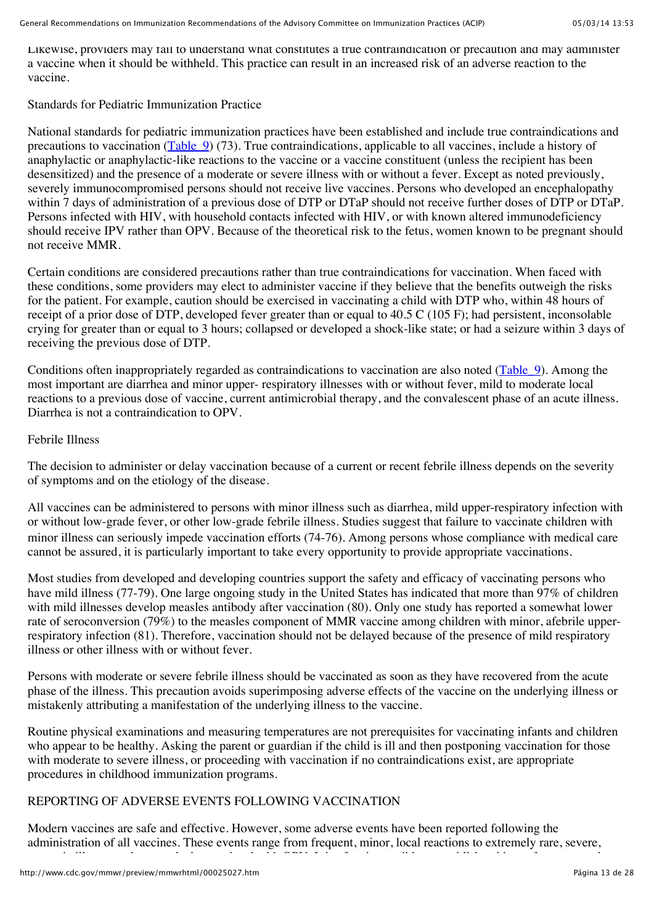Likewise, providers may fail to understand what constitutes a true contraindication or precaution and may administer a vaccine when it should be withheld. This practice can result in an increased risk of an adverse reaction to the vaccine.

Standards for Pediatric Immunization Practice

National standards for pediatric immunization practices have been established and include true contraindications and precautions to vaccination ([Table\\_9\)](http://www.cdc.gov/mmwr/preview/mmwrhtml/00025027.htm#00000356.htm) (73). True contraindications, applicable to all vaccines, include a history of anaphylactic or anaphylactic-like reactions to the vaccine or a vaccine constituent (unless the recipient has been desensitized) and the presence of a moderate or severe illness with or without a fever. Except as noted previously, severely immunocompromised persons should not receive live vaccines. Persons who developed an encephalopathy within 7 days of administration of a previous dose of DTP or DTaP should not receive further doses of DTP or DTaP. Persons infected with HIV, with household contacts infected with HIV, or with known altered immunodeficiency should receive IPV rather than OPV. Because of the theoretical risk to the fetus, women known to be pregnant should not receive MMR.

Certain conditions are considered precautions rather than true contraindications for vaccination. When faced with these conditions, some providers may elect to administer vaccine if they believe that the benefits outweigh the risks for the patient. For example, caution should be exercised in vaccinating a child with DTP who, within 48 hours of receipt of a prior dose of DTP, developed fever greater than or equal to 40.5 C (105 F); had persistent, inconsolable crying for greater than or equal to 3 hours; collapsed or developed a shock-like state; or had a seizure within 3 days of receiving the previous dose of DTP.

Conditions often inappropriately regarded as contraindications to vaccination are also noted [\(Table\\_9\)](http://www.cdc.gov/mmwr/preview/mmwrhtml/00025027.htm#00000356.htm). Among the most important are diarrhea and minor upper- respiratory illnesses with or without fever, mild to moderate local reactions to a previous dose of vaccine, current antimicrobial therapy, and the convalescent phase of an acute illness. Diarrhea is not a contraindication to OPV.

### Febrile Illness

The decision to administer or delay vaccination because of a current or recent febrile illness depends on the severity of symptoms and on the etiology of the disease.

All vaccines can be administered to persons with minor illness such as diarrhea, mild upper-respiratory infection with or without low-grade fever, or other low-grade febrile illness. Studies suggest that failure to vaccinate children with minor illness can seriously impede vaccination efforts (74-76). Among persons whose compliance with medical care cannot be assured, it is particularly important to take every opportunity to provide appropriate vaccinations.

Most studies from developed and developing countries support the safety and efficacy of vaccinating persons who have mild illness (77-79). One large ongoing study in the United States has indicated that more than 97% of children with mild illnesses develop measles antibody after vaccination (80). Only one study has reported a somewhat lower rate of seroconversion (79%) to the measles component of MMR vaccine among children with minor, afebrile upperrespiratory infection (81). Therefore, vaccination should not be delayed because of the presence of mild respiratory illness or other illness with or without fever.

Persons with moderate or severe febrile illness should be vaccinated as soon as they have recovered from the acute phase of the illness. This precaution avoids superimposing adverse effects of the vaccine on the underlying illness or mistakenly attributing a manifestation of the underlying illness to the vaccine.

Routine physical examinations and measuring temperatures are not prerequisites for vaccinating infants and children who appear to be healthy. Asking the parent or guardian if the child is ill and then postponing vaccination for those with moderate to severe illness, or proceeding with vaccination if no contraindications exist, are appropriate procedures in childhood immunization programs.

## REPORTING OF ADVERSE EVENTS FOLLOWING VACCINATION

Modern vaccines are safe and effective. However, some adverse events have been reported following the administration of all vaccines. These events range from frequent, minor, local reactions to extremely rare, severe, systemic illness, such as paralysis associated with OPV. It is often impossible to establish evidence for cause-and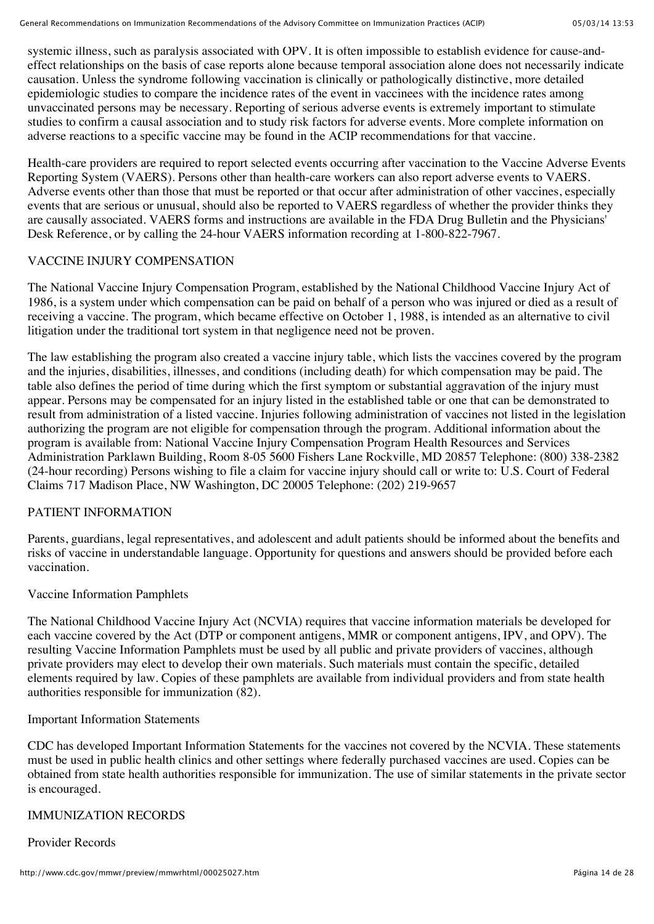systemic illness, such as paralysis associated with OPV. It is often impossible to establish evidence for cause-andeffect relationships on the basis of case reports alone because temporal association alone does not necessarily indicate causation. Unless the syndrome following vaccination is clinically or pathologically distinctive, more detailed epidemiologic studies to compare the incidence rates of the event in vaccinees with the incidence rates among unvaccinated persons may be necessary. Reporting of serious adverse events is extremely important to stimulate studies to confirm a causal association and to study risk factors for adverse events. More complete information on adverse reactions to a specific vaccine may be found in the ACIP recommendations for that vaccine.

Health-care providers are required to report selected events occurring after vaccination to the Vaccine Adverse Events Reporting System (VAERS). Persons other than health-care workers can also report adverse events to VAERS. Adverse events other than those that must be reported or that occur after administration of other vaccines, especially events that are serious or unusual, should also be reported to VAERS regardless of whether the provider thinks they are causally associated. VAERS forms and instructions are available in the FDA Drug Bulletin and the Physicians' Desk Reference, or by calling the 24-hour VAERS information recording at 1-800-822-7967.

#### VACCINE INJURY COMPENSATION

The National Vaccine Injury Compensation Program, established by the National Childhood Vaccine Injury Act of 1986, is a system under which compensation can be paid on behalf of a person who was injured or died as a result of receiving a vaccine. The program, which became effective on October 1, 1988, is intended as an alternative to civil litigation under the traditional tort system in that negligence need not be proven.

The law establishing the program also created a vaccine injury table, which lists the vaccines covered by the program and the injuries, disabilities, illnesses, and conditions (including death) for which compensation may be paid. The table also defines the period of time during which the first symptom or substantial aggravation of the injury must appear. Persons may be compensated for an injury listed in the established table or one that can be demonstrated to result from administration of a listed vaccine. Injuries following administration of vaccines not listed in the legislation authorizing the program are not eligible for compensation through the program. Additional information about the program is available from: National Vaccine Injury Compensation Program Health Resources and Services Administration Parklawn Building, Room 8-05 5600 Fishers Lane Rockville, MD 20857 Telephone: (800) 338-2382 (24-hour recording) Persons wishing to file a claim for vaccine injury should call or write to: U.S. Court of Federal Claims 717 Madison Place, NW Washington, DC 20005 Telephone: (202) 219-9657

#### PATIENT INFORMATION

Parents, guardians, legal representatives, and adolescent and adult patients should be informed about the benefits and risks of vaccine in understandable language. Opportunity for questions and answers should be provided before each vaccination.

#### Vaccine Information Pamphlets

The National Childhood Vaccine Injury Act (NCVIA) requires that vaccine information materials be developed for each vaccine covered by the Act (DTP or component antigens, MMR or component antigens, IPV, and OPV). The resulting Vaccine Information Pamphlets must be used by all public and private providers of vaccines, although private providers may elect to develop their own materials. Such materials must contain the specific, detailed elements required by law. Copies of these pamphlets are available from individual providers and from state health authorities responsible for immunization (82).

#### Important Information Statements

CDC has developed Important Information Statements for the vaccines not covered by the NCVIA. These statements must be used in public health clinics and other settings where federally purchased vaccines are used. Copies can be obtained from state health authorities responsible for immunization. The use of similar statements in the private sector is encouraged.

#### IMMUNIZATION RECORDS

#### Provider Records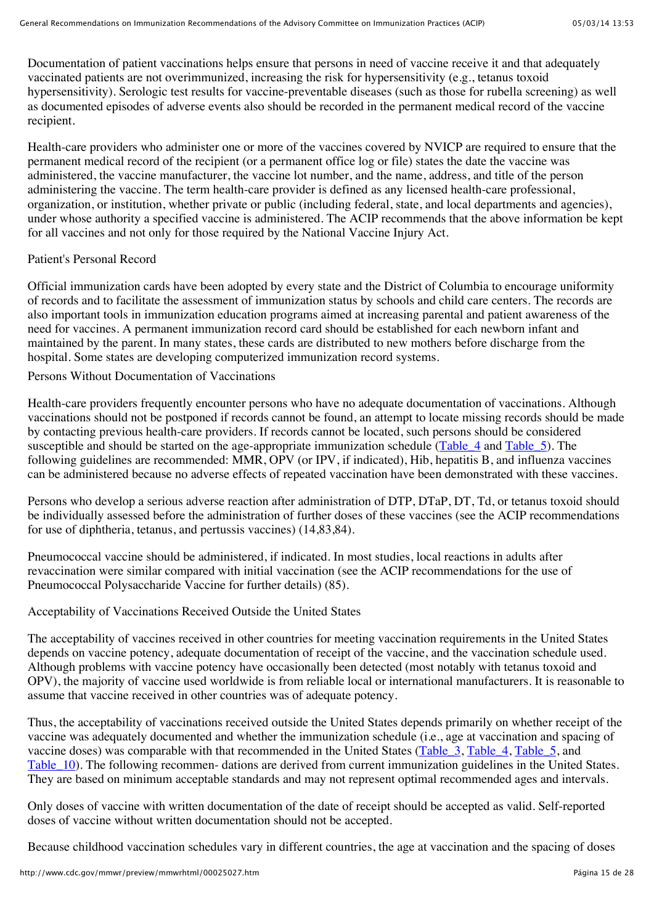Documentation of patient vaccinations helps ensure that persons in need of vaccine receive it and that adequately vaccinated patients are not overimmunized, increasing the risk for hypersensitivity (e.g., tetanus toxoid hypersensitivity). Serologic test results for vaccine-preventable diseases (such as those for rubella screening) as well as documented episodes of adverse events also should be recorded in the permanent medical record of the vaccine recipient.

Health-care providers who administer one or more of the vaccines covered by NVICP are required to ensure that the permanent medical record of the recipient (or a permanent office log or file) states the date the vaccine was administered, the vaccine manufacturer, the vaccine lot number, and the name, address, and title of the person administering the vaccine. The term health-care provider is defined as any licensed health-care professional, organization, or institution, whether private or public (including federal, state, and local departments and agencies), under whose authority a specified vaccine is administered. The ACIP recommends that the above information be kept for all vaccines and not only for those required by the National Vaccine Injury Act.

#### Patient's Personal Record

Official immunization cards have been adopted by every state and the District of Columbia to encourage uniformity of records and to facilitate the assessment of immunization status by schools and child care centers. The records are also important tools in immunization education programs aimed at increasing parental and patient awareness of the need for vaccines. A permanent immunization record card should be established for each newborn infant and maintained by the parent. In many states, these cards are distributed to new mothers before discharge from the hospital. Some states are developing computerized immunization record systems.

#### Persons Without Documentation of Vaccinations

Health-care providers frequently encounter persons who have no adequate documentation of vaccinations. Although vaccinations should not be postponed if records cannot be found, an attempt to locate missing records should be made by contacting previous health-care providers. If records cannot be located, such persons should be considered susceptible and should be started on the age-appropriate immunization schedule (Table 4 and Table 5). The following guidelines are recommended: MMR, OPV (or IPV, if indicated), Hib, hepatitis B, and influenza vaccines can be administered because no adverse effects of repeated vaccination have been demonstrated with these vaccines.

Persons who develop a serious adverse reaction after administration of DTP, DTaP, DT, Td, or tetanus toxoid should be individually assessed before the administration of further doses of these vaccines (see the ACIP recommendations for use of diphtheria, tetanus, and pertussis vaccines) (14,83,84).

Pneumococcal vaccine should be administered, if indicated. In most studies, local reactions in adults after revaccination were similar compared with initial vaccination (see the ACIP recommendations for the use of Pneumococcal Polysaccharide Vaccine for further details) (85).

#### Acceptability of Vaccinations Received Outside the United States

The acceptability of vaccines received in other countries for meeting vaccination requirements in the United States depends on vaccine potency, adequate documentation of receipt of the vaccine, and the vaccination schedule used. Although problems with vaccine potency have occasionally been detected (most notably with tetanus toxoid and OPV), the majority of vaccine used worldwide is from reliable local or international manufacturers. It is reasonable to assume that vaccine received in other countries was of adequate potency.

Thus, the acceptability of vaccinations received outside the United States depends primarily on whether receipt of the vaccine was adequately documented and whether the immunization schedule (i.e., age at vaccination and spacing of vaccine doses) was comparable with that recommended in the United States ([Table\\_3,](http://www.cdc.gov/mmwr/preview/mmwrhtml/00025027.htm#00000350.htm) [Table\\_4,](http://www.cdc.gov/mmwr/preview/mmwrhtml/00025027.htm#00000351.htm) [Table\\_5,](http://www.cdc.gov/mmwr/preview/mmwrhtml/00025027.htm#00000352.htm) and Table 10). The following recommen- dations are derived from current immunization guidelines in the United States. They are based on minimum acceptable standards and may not represent optimal recommended ages and intervals.

Only doses of vaccine with written documentation of the date of receipt should be accepted as valid. Self-reported doses of vaccine without written documentation should not be accepted.

Because childhood vaccination schedules vary in different countries, the age at vaccination and the spacing of doses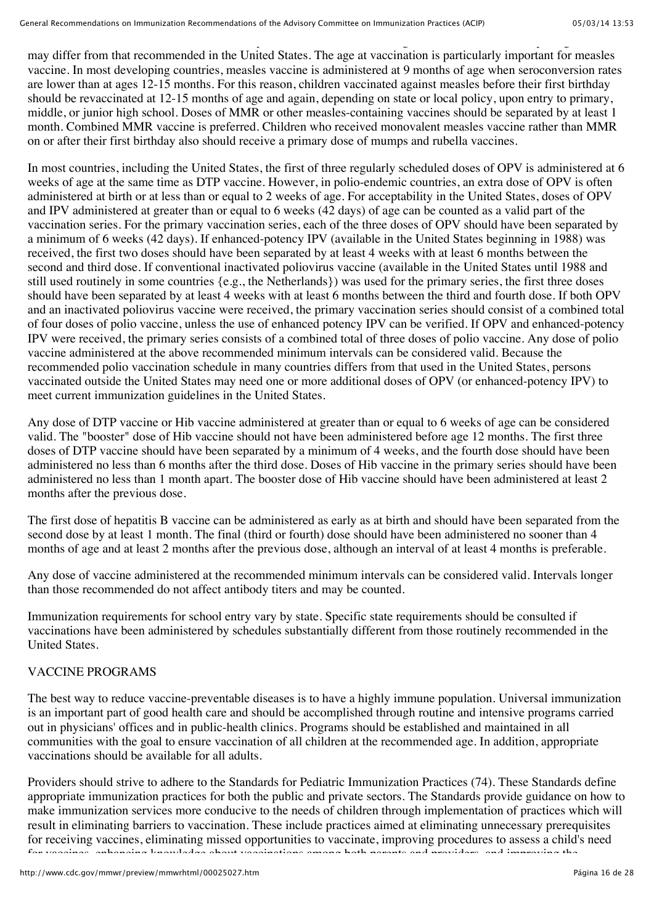$\mathcal{L}(\mathcal{A})$  in different countries, the age at vary in different countries, the spacing of doses  $\mathcal{L}(\mathcal{A})$ may differ from that recommended in the United States. The age at vaccination is particularly important for measles vaccine. In most developing countries, measles vaccine is administered at 9 months of age when seroconversion rates are lower than at ages 12-15 months. For this reason, children vaccinated against measles before their first birthday should be revaccinated at 12-15 months of age and again, depending on state or local policy, upon entry to primary, middle, or junior high school. Doses of MMR or other measles-containing vaccines should be separated by at least 1 month. Combined MMR vaccine is preferred. Children who received monovalent measles vaccine rather than MMR on or after their first birthday also should receive a primary dose of mumps and rubella vaccines.

In most countries, including the United States, the first of three regularly scheduled doses of OPV is administered at 6 weeks of age at the same time as DTP vaccine. However, in polio-endemic countries, an extra dose of OPV is often administered at birth or at less than or equal to 2 weeks of age. For acceptability in the United States, doses of OPV and IPV administered at greater than or equal to 6 weeks (42 days) of age can be counted as a valid part of the vaccination series. For the primary vaccination series, each of the three doses of OPV should have been separated by a minimum of 6 weeks (42 days). If enhanced-potency IPV (available in the United States beginning in 1988) was received, the first two doses should have been separated by at least 4 weeks with at least 6 months between the second and third dose. If conventional inactivated poliovirus vaccine (available in the United States until 1988 and still used routinely in some countries {e.g., the Netherlands}) was used for the primary series, the first three doses should have been separated by at least 4 weeks with at least 6 months between the third and fourth dose. If both OPV and an inactivated poliovirus vaccine were received, the primary vaccination series should consist of a combined total of four doses of polio vaccine, unless the use of enhanced potency IPV can be verified. If OPV and enhanced-potency IPV were received, the primary series consists of a combined total of three doses of polio vaccine. Any dose of polio vaccine administered at the above recommended minimum intervals can be considered valid. Because the recommended polio vaccination schedule in many countries differs from that used in the United States, persons vaccinated outside the United States may need one or more additional doses of OPV (or enhanced-potency IPV) to meet current immunization guidelines in the United States.

Any dose of DTP vaccine or Hib vaccine administered at greater than or equal to 6 weeks of age can be considered valid. The "booster" dose of Hib vaccine should not have been administered before age 12 months. The first three doses of DTP vaccine should have been separated by a minimum of 4 weeks, and the fourth dose should have been administered no less than 6 months after the third dose. Doses of Hib vaccine in the primary series should have been administered no less than 1 month apart. The booster dose of Hib vaccine should have been administered at least 2 months after the previous dose.

The first dose of hepatitis B vaccine can be administered as early as at birth and should have been separated from the second dose by at least 1 month. The final (third or fourth) dose should have been administered no sooner than 4 months of age and at least 2 months after the previous dose, although an interval of at least 4 months is preferable.

Any dose of vaccine administered at the recommended minimum intervals can be considered valid. Intervals longer than those recommended do not affect antibody titers and may be counted.

Immunization requirements for school entry vary by state. Specific state requirements should be consulted if vaccinations have been administered by schedules substantially different from those routinely recommended in the United States.

### VACCINE PROGRAMS

The best way to reduce vaccine-preventable diseases is to have a highly immune population. Universal immunization is an important part of good health care and should be accomplished through routine and intensive programs carried out in physicians' offices and in public-health clinics. Programs should be established and maintained in all communities with the goal to ensure vaccination of all children at the recommended age. In addition, appropriate vaccinations should be available for all adults.

Providers should strive to adhere to the Standards for Pediatric Immunization Practices (74). These Standards define appropriate immunization practices for both the public and private sectors. The Standards provide guidance on how to make immunization services more conducive to the needs of children through implementation of practices which will result in eliminating barriers to vaccination. These include practices aimed at eliminating unnecessary prerequisites for receiving vaccines, eliminating missed opportunities to vaccinate, improving procedures to assess a child's need for vaccines, enhancing knowledge about vaccinations among both parents and providers, and improving the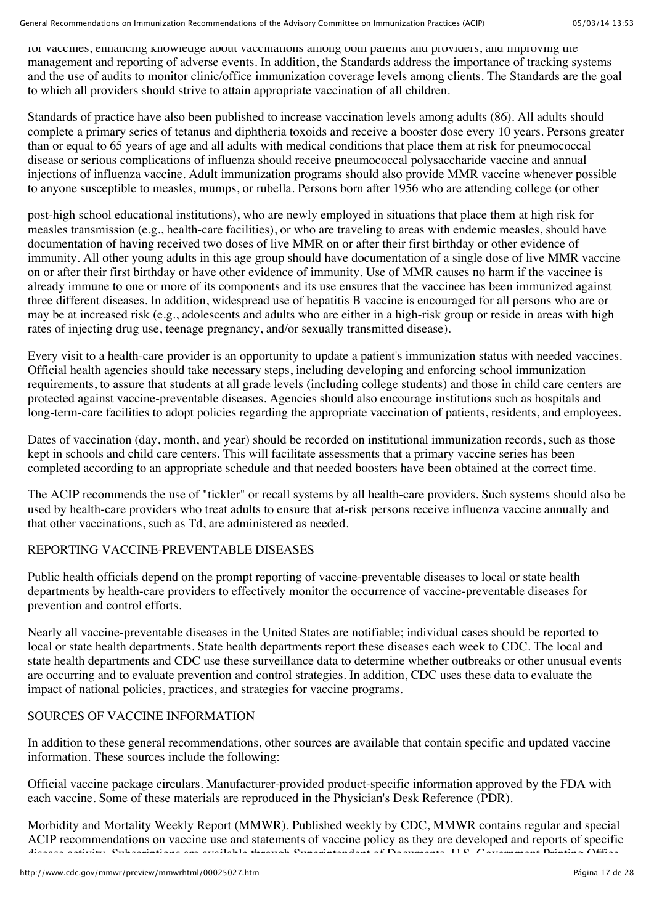for vaccines, enhancing knowledge about vaccinations among both parents and providers, and improving the management and reporting of adverse events. In addition, the Standards address the importance of tracking systems and the use of audits to monitor clinic/office immunization coverage levels among clients. The Standards are the goal to which all providers should strive to attain appropriate vaccination of all children.

Standards of practice have also been published to increase vaccination levels among adults (86). All adults should complete a primary series of tetanus and diphtheria toxoids and receive a booster dose every 10 years. Persons greater than or equal to 65 years of age and all adults with medical conditions that place them at risk for pneumococcal disease or serious complications of influenza should receive pneumococcal polysaccharide vaccine and annual injections of influenza vaccine. Adult immunization programs should also provide MMR vaccine whenever possible to anyone susceptible to measles, mumps, or rubella. Persons born after 1956 who are attending college (or other

post-high school educational institutions), who are newly employed in situations that place them at high risk for measles transmission (e.g., health-care facilities), or who are traveling to areas with endemic measles, should have documentation of having received two doses of live MMR on or after their first birthday or other evidence of immunity. All other young adults in this age group should have documentation of a single dose of live MMR vaccine on or after their first birthday or have other evidence of immunity. Use of MMR causes no harm if the vaccinee is already immune to one or more of its components and its use ensures that the vaccinee has been immunized against three different diseases. In addition, widespread use of hepatitis B vaccine is encouraged for all persons who are or may be at increased risk (e.g., adolescents and adults who are either in a high-risk group or reside in areas with high rates of injecting drug use, teenage pregnancy, and/or sexually transmitted disease).

Every visit to a health-care provider is an opportunity to update a patient's immunization status with needed vaccines. Official health agencies should take necessary steps, including developing and enforcing school immunization requirements, to assure that students at all grade levels (including college students) and those in child care centers are protected against vaccine-preventable diseases. Agencies should also encourage institutions such as hospitals and long-term-care facilities to adopt policies regarding the appropriate vaccination of patients, residents, and employees.

Dates of vaccination (day, month, and year) should be recorded on institutional immunization records, such as those kept in schools and child care centers. This will facilitate assessments that a primary vaccine series has been completed according to an appropriate schedule and that needed boosters have been obtained at the correct time.

The ACIP recommends the use of "tickler" or recall systems by all health-care providers. Such systems should also be used by health-care providers who treat adults to ensure that at-risk persons receive influenza vaccine annually and that other vaccinations, such as Td, are administered as needed.

## REPORTING VACCINE-PREVENTABLE DISEASES

Public health officials depend on the prompt reporting of vaccine-preventable diseases to local or state health departments by health-care providers to effectively monitor the occurrence of vaccine-preventable diseases for prevention and control efforts.

Nearly all vaccine-preventable diseases in the United States are notifiable; individual cases should be reported to local or state health departments. State health departments report these diseases each week to CDC. The local and state health departments and CDC use these surveillance data to determine whether outbreaks or other unusual events are occurring and to evaluate prevention and control strategies. In addition, CDC uses these data to evaluate the impact of national policies, practices, and strategies for vaccine programs.

### SOURCES OF VACCINE INFORMATION

In addition to these general recommendations, other sources are available that contain specific and updated vaccine information. These sources include the following:

Official vaccine package circulars. Manufacturer-provided product-specific information approved by the FDA with each vaccine. Some of these materials are reproduced in the Physician's Desk Reference (PDR).

Morbidity and Mortality Weekly Report (MMWR). Published weekly by CDC, MMWR contains regular and special ACIP recommendations on vaccine use and statements of vaccine policy as they are developed and reports of specific disease activity. Subscriptions are available through Superintendent of Documents, U.S. Government Printing Office,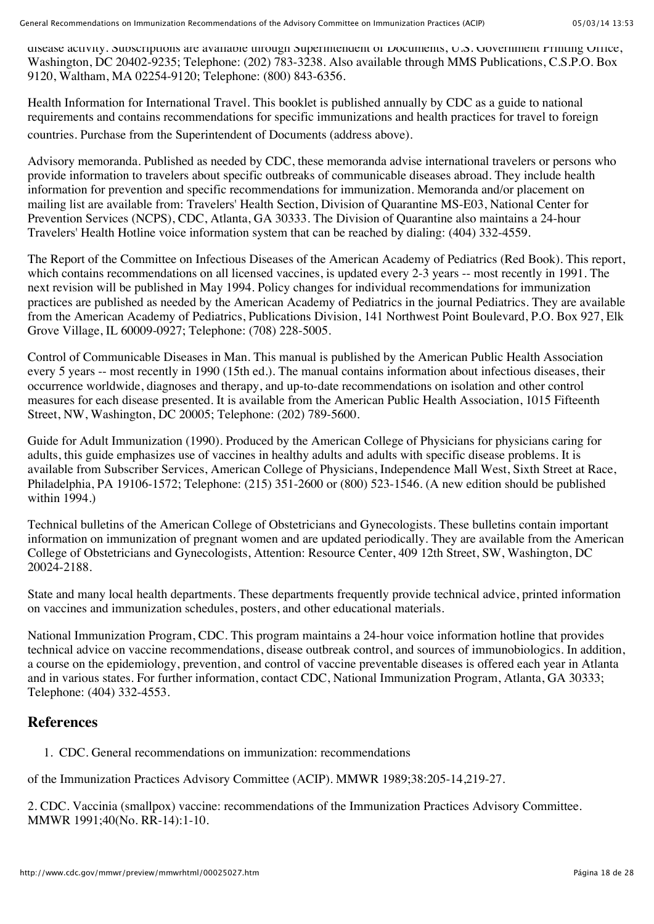disease activity. Subscriptions are available through Superintendent of Documents, U.S. Government Printing Office, Washington, DC 20402-9235; Telephone: (202) 783-3238. Also available through MMS Publications, C.S.P.O. Box 9120, Waltham, MA 02254-9120; Telephone: (800) 843-6356.

Health Information for International Travel. This booklet is published annually by CDC as a guide to national requirements and contains recommendations for specific immunizations and health practices for travel to foreign countries. Purchase from the Superintendent of Documents (address above).

Advisory memoranda. Published as needed by CDC, these memoranda advise international travelers or persons who provide information to travelers about specific outbreaks of communicable diseases abroad. They include health information for prevention and specific recommendations for immunization. Memoranda and/or placement on mailing list are available from: Travelers' Health Section, Division of Quarantine MS-E03, National Center for Prevention Services (NCPS), CDC, Atlanta, GA 30333. The Division of Quarantine also maintains a 24-hour Travelers' Health Hotline voice information system that can be reached by dialing: (404) 332-4559.

The Report of the Committee on Infectious Diseases of the American Academy of Pediatrics (Red Book). This report, which contains recommendations on all licensed vaccines, is updated every 2-3 years -- most recently in 1991. The next revision will be published in May 1994. Policy changes for individual recommendations for immunization practices are published as needed by the American Academy of Pediatrics in the journal Pediatrics. They are available from the American Academy of Pediatrics, Publications Division, 141 Northwest Point Boulevard, P.O. Box 927, Elk Grove Village, IL 60009-0927; Telephone: (708) 228-5005.

Control of Communicable Diseases in Man. This manual is published by the American Public Health Association every 5 years -- most recently in 1990 (15th ed.). The manual contains information about infectious diseases, their occurrence worldwide, diagnoses and therapy, and up-to-date recommendations on isolation and other control measures for each disease presented. It is available from the American Public Health Association, 1015 Fifteenth Street, NW, Washington, DC 20005; Telephone: (202) 789-5600.

Guide for Adult Immunization (1990). Produced by the American College of Physicians for physicians caring for adults, this guide emphasizes use of vaccines in healthy adults and adults with specific disease problems. It is available from Subscriber Services, American College of Physicians, Independence Mall West, Sixth Street at Race, Philadelphia, PA 19106-1572; Telephone: (215) 351-2600 or (800) 523-1546. (A new edition should be published within 1994.)

Technical bulletins of the American College of Obstetricians and Gynecologists. These bulletins contain important information on immunization of pregnant women and are updated periodically. They are available from the American College of Obstetricians and Gynecologists, Attention: Resource Center, 409 12th Street, SW, Washington, DC 20024-2188.

State and many local health departments. These departments frequently provide technical advice, printed information on vaccines and immunization schedules, posters, and other educational materials.

National Immunization Program, CDC. This program maintains a 24-hour voice information hotline that provides technical advice on vaccine recommendations, disease outbreak control, and sources of immunobiologics. In addition, a course on the epidemiology, prevention, and control of vaccine preventable diseases is offered each year in Atlanta and in various states. For further information, contact CDC, National Immunization Program, Atlanta, GA 30333; Telephone: (404) 332-4553.

## **References**

1. CDC. General recommendations on immunization: recommendations

of the Immunization Practices Advisory Committee (ACIP). MMWR 1989;38:205-14,219-27.

2. CDC. Vaccinia (smallpox) vaccine: recommendations of the Immunization Practices Advisory Committee. MMWR 1991;40(No. RR-14):1-10.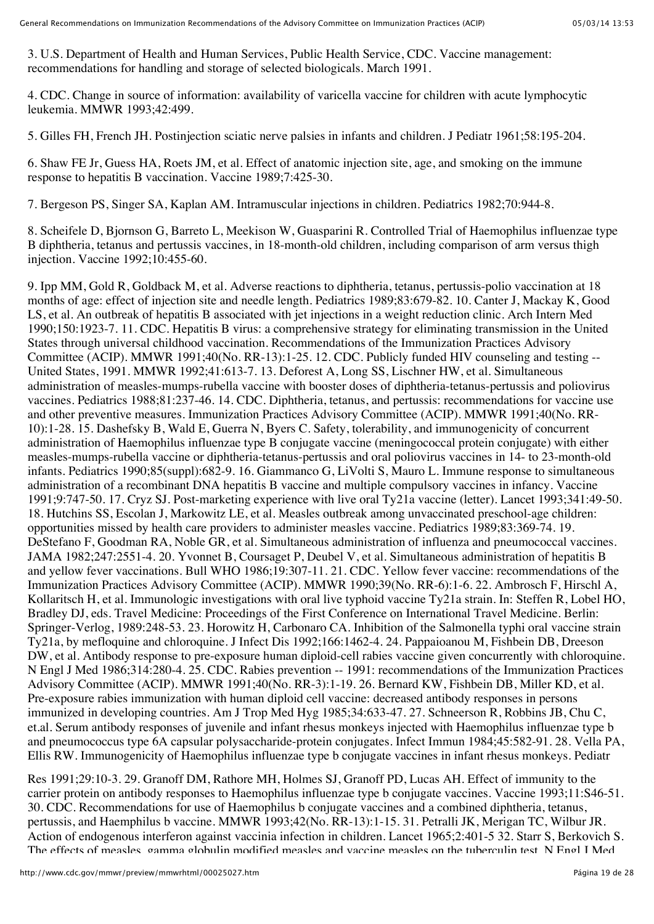3. U.S. Department of Health and Human Services, Public Health Service, CDC. Vaccine management: recommendations for handling and storage of selected biologicals. March 1991.

4. CDC. Change in source of information: availability of varicella vaccine for children with acute lymphocytic leukemia. MMWR 1993;42:499.

5. Gilles FH, French JH. Postinjection sciatic nerve palsies in infants and children. J Pediatr 1961;58:195-204.

6. Shaw FE Jr, Guess HA, Roets JM, et al. Effect of anatomic injection site, age, and smoking on the immune response to hepatitis B vaccination. Vaccine 1989;7:425-30.

7. Bergeson PS, Singer SA, Kaplan AM. Intramuscular injections in children. Pediatrics 1982;70:944-8.

8. Scheifele D, Bjornson G, Barreto L, Meekison W, Guasparini R. Controlled Trial of Haemophilus influenzae type B diphtheria, tetanus and pertussis vaccines, in 18-month-old children, including comparison of arm versus thigh injection. Vaccine 1992;10:455-60.

9. Ipp MM, Gold R, Goldback M, et al. Adverse reactions to diphtheria, tetanus, pertussis-polio vaccination at 18 months of age: effect of injection site and needle length. Pediatrics 1989;83:679-82. 10. Canter J, Mackay K, Good LS, et al. An outbreak of hepatitis B associated with jet injections in a weight reduction clinic. Arch Intern Med 1990;150:1923-7. 11. CDC. Hepatitis B virus: a comprehensive strategy for eliminating transmission in the United States through universal childhood vaccination. Recommendations of the Immunization Practices Advisory Committee (ACIP). MMWR 1991;40(No. RR-13):1-25. 12. CDC. Publicly funded HIV counseling and testing -- United States, 1991. MMWR 1992;41:613-7. 13. Deforest A, Long SS, Lischner HW, et al. Simultaneous administration of measles-mumps-rubella vaccine with booster doses of diphtheria-tetanus-pertussis and poliovirus vaccines. Pediatrics 1988;81:237-46. 14. CDC. Diphtheria, tetanus, and pertussis: recommendations for vaccine use and other preventive measures. Immunization Practices Advisory Committee (ACIP). MMWR 1991;40(No. RR-10):1-28. 15. Dashefsky B, Wald E, Guerra N, Byers C. Safety, tolerability, and immunogenicity of concurrent administration of Haemophilus influenzae type B conjugate vaccine (meningococcal protein conjugate) with either measles-mumps-rubella vaccine or diphtheria-tetanus-pertussis and oral poliovirus vaccines in 14- to 23-month-old infants. Pediatrics 1990;85(suppl):682-9. 16. Giammanco G, LiVolti S, Mauro L. Immune response to simultaneous administration of a recombinant DNA hepatitis B vaccine and multiple compulsory vaccines in infancy. Vaccine 1991;9:747-50. 17. Cryz SJ. Post-marketing experience with live oral Ty21a vaccine (letter). Lancet 1993;341:49-50. 18. Hutchins SS, Escolan J, Markowitz LE, et al. Measles outbreak among unvaccinated preschool-age children: opportunities missed by health care providers to administer measles vaccine. Pediatrics 1989;83:369-74. 19. DeStefano F, Goodman RA, Noble GR, et al. Simultaneous administration of influenza and pneumococcal vaccines. JAMA 1982;247:2551-4. 20. Yvonnet B, Coursaget P, Deubel V, et al. Simultaneous administration of hepatitis B and yellow fever vaccinations. Bull WHO 1986;19:307-11. 21. CDC. Yellow fever vaccine: recommendations of the Immunization Practices Advisory Committee (ACIP). MMWR 1990;39(No. RR-6):1-6. 22. Ambrosch F, Hirschl A, Kollaritsch H, et al. Immunologic investigations with oral live typhoid vaccine Ty21a strain. In: Steffen R, Lobel HO, Bradley DJ, eds. Travel Medicine: Proceedings of the First Conference on International Travel Medicine. Berlin: Springer-Verlog, 1989:248-53. 23. Horowitz H, Carbonaro CA. Inhibition of the Salmonella typhi oral vaccine strain Ty21a, by mefloquine and chloroquine. J Infect Dis 1992;166:1462-4. 24. Pappaioanou M, Fishbein DB, Dreeson DW, et al. Antibody response to pre-exposure human diploid-cell rabies vaccine given concurrently with chloroquine. N Engl J Med 1986;314:280-4. 25. CDC. Rabies prevention -- 1991: recommendations of the Immunization Practices Advisory Committee (ACIP). MMWR 1991;40(No. RR-3):1-19. 26. Bernard KW, Fishbein DB, Miller KD, et al. Pre-exposure rabies immunization with human diploid cell vaccine: decreased antibody responses in persons immunized in developing countries. Am J Trop Med Hyg 1985;34:633-47. 27. Schneerson R, Robbins JB, Chu C, et.al. Serum antibody responses of juvenile and infant rhesus monkeys injected with Haemophilus influenzae type b and pneumococcus type 6A capsular polysaccharide-protein conjugates. Infect Immun 1984;45:582-91. 28. Vella PA, Ellis RW. Immunogenicity of Haemophilus influenzae type b conjugate vaccines in infant rhesus monkeys. Pediatr

Res 1991;29:10-3. 29. Granoff DM, Rathore MH, Holmes SJ, Granoff PD, Lucas AH. Effect of immunity to the carrier protein on antibody responses to Haemophilus influenzae type b conjugate vaccines. Vaccine 1993;11:S46-51. 30. CDC. Recommendations for use of Haemophilus b conjugate vaccines and a combined diphtheria, tetanus, pertussis, and Haemphilus b vaccine. MMWR 1993;42(No. RR-13):1-15. 31. Petralli JK, Merigan TC, Wilbur JR. Action of endogenous interferon against vaccinia infection in children. Lancet 1965;2:401-5 32. Starr S, Berkovich S. The effects of measles, gamma globulin modified measles and vaccine measles on the tuberculin test. N Engl J Med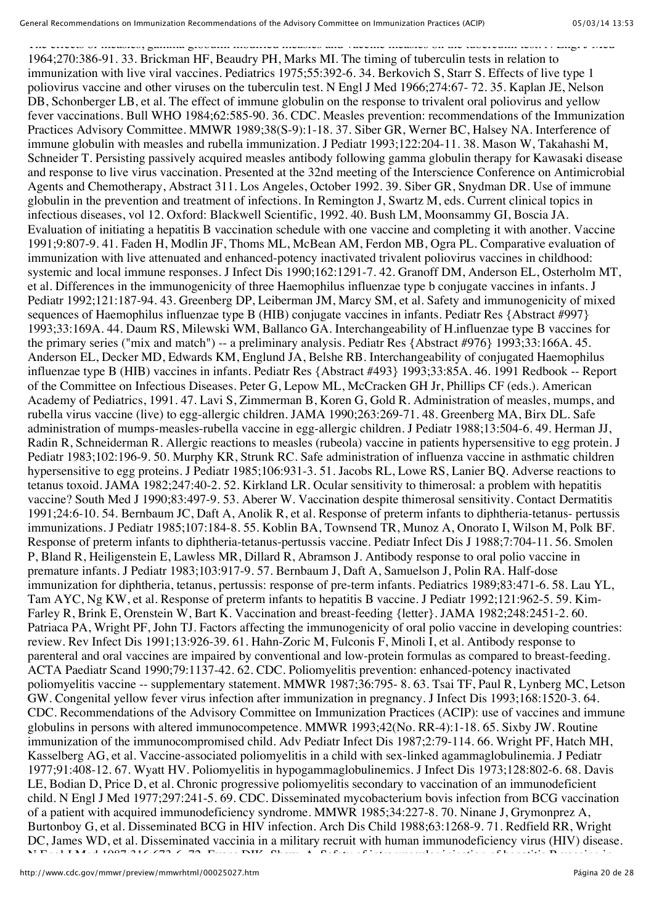The effects of measles, gamma globulin modified measles and vaccine measles on the tuberculin test. N Engl J Med 1964;270:386-91. 33. Brickman HF, Beaudry PH, Marks MI. The timing of tuberculin tests in relation to immunization with live viral vaccines. Pediatrics 1975;55:392-6. 34. Berkovich S, Starr S. Effects of live type 1 poliovirus vaccine and other viruses on the tuberculin test. N Engl J Med 1966;274:67- 72. 35. Kaplan JE, Nelson DB, Schonberger LB, et al. The effect of immune globulin on the response to trivalent oral poliovirus and yellow fever vaccinations. Bull WHO 1984;62:585-90. 36. CDC. Measles prevention: recommendations of the Immunization Practices Advisory Committee. MMWR 1989;38(S-9):1-18. 37. Siber GR, Werner BC, Halsey NA. Interference of immune globulin with measles and rubella immunization. J Pediatr 1993;122:204-11. 38. Mason W, Takahashi M, Schneider T. Persisting passively acquired measles antibody following gamma globulin therapy for Kawasaki disease and response to live virus vaccination. Presented at the 32nd meeting of the Interscience Conference on Antimicrobial Agents and Chemotherapy, Abstract 311. Los Angeles, October 1992. 39. Siber GR, Snydman DR. Use of immune globulin in the prevention and treatment of infections. In Remington J, Swartz M, eds. Current clinical topics in infectious diseases, vol 12. Oxford: Blackwell Scientific, 1992. 40. Bush LM, Moonsammy GI, Boscia JA. Evaluation of initiating a hepatitis B vaccination schedule with one vaccine and completing it with another. Vaccine 1991;9:807-9. 41. Faden H, Modlin JF, Thoms ML, McBean AM, Ferdon MB, Ogra PL. Comparative evaluation of immunization with live attenuated and enhanced-potency inactivated trivalent poliovirus vaccines in childhood: systemic and local immune responses. J Infect Dis 1990;162:1291-7. 42. Granoff DM, Anderson EL, Osterholm MT, et al. Differences in the immunogenicity of three Haemophilus influenzae type b conjugate vaccines in infants. J Pediatr 1992;121:187-94. 43. Greenberg DP, Leiberman JM, Marcy SM, et al. Safety and immunogenicity of mixed sequences of Haemophilus influenzae type B (HIB) conjugate vaccines in infants. Pediatr Res {Abstract #997} 1993;33:169A. 44. Daum RS, Milewski WM, Ballanco GA. Interchangeability of H.influenzae type B vaccines for the primary series ("mix and match") -- a preliminary analysis. Pediatr Res {Abstract #976} 1993;33:166A. 45. Anderson EL, Decker MD, Edwards KM, Englund JA, Belshe RB. Interchangeability of conjugated Haemophilus influenzae type B (HIB) vaccines in infants. Pediatr Res {Abstract #493} 1993;33:85A. 46. 1991 Redbook -- Report of the Committee on Infectious Diseases. Peter G, Lepow ML, McCracken GH Jr, Phillips CF (eds.). American Academy of Pediatrics, 1991. 47. Lavi S, Zimmerman B, Koren G, Gold R. Administration of measles, mumps, and rubella virus vaccine (live) to egg-allergic children. JAMA 1990;263:269-71. 48. Greenberg MA, Birx DL. Safe administration of mumps-measles-rubella vaccine in egg-allergic children. J Pediatr 1988;13:504-6. 49. Herman JJ, Radin R, Schneiderman R. Allergic reactions to measles (rubeola) vaccine in patients hypersensitive to egg protein. J Pediatr 1983;102:196-9. 50. Murphy KR, Strunk RC. Safe administration of influenza vaccine in asthmatic children hypersensitive to egg proteins. J Pediatr 1985;106:931-3. 51. Jacobs RL, Lowe RS, Lanier BQ. Adverse reactions to tetanus toxoid. JAMA 1982;247:40-2. 52. Kirkland LR. Ocular sensitivity to thimerosal: a problem with hepatitis vaccine? South Med J 1990;83:497-9. 53. Aberer W. Vaccination despite thimerosal sensitivity. Contact Dermatitis 1991;24:6-10. 54. Bernbaum JC, Daft A, Anolik R, et al. Response of preterm infants to diphtheria-tetanus- pertussis immunizations. J Pediatr 1985;107:184-8. 55. Koblin BA, Townsend TR, Munoz A, Onorato I, Wilson M, Polk BF. Response of preterm infants to diphtheria-tetanus-pertussis vaccine. Pediatr Infect Dis J 1988;7:704-11. 56. Smolen P, Bland R, Heiligenstein E, Lawless MR, Dillard R, Abramson J. Antibody response to oral polio vaccine in premature infants. J Pediatr 1983;103:917-9. 57. Bernbaum J, Daft A, Samuelson J, Polin RA. Half-dose immunization for diphtheria, tetanus, pertussis: response of pre-term infants. Pediatrics 1989;83:471-6. 58. Lau YL, Tam AYC, Ng KW, et al. Response of preterm infants to hepatitis B vaccine. J Pediatr 1992;121:962-5. 59. Kim-Farley R, Brink E, Orenstein W, Bart K. Vaccination and breast-feeding {letter}. JAMA 1982;248:2451-2. 60. Patriaca PA, Wright PF, John TJ. Factors affecting the immunogenicity of oral polio vaccine in developing countries: review. Rev Infect Dis 1991;13:926-39. 61. Hahn-Zoric M, Fulconis F, Minoli I, et al. Antibody response to parenteral and oral vaccines are impaired by conventional and low-protein formulas as compared to breast-feeding. ACTA Paediatr Scand 1990;79:1137-42. 62. CDC. Poliomyelitis prevention: enhanced-potency inactivated poliomyelitis vaccine -- supplementary statement. MMWR 1987;36:795- 8. 63. Tsai TF, Paul R, Lynberg MC, Letson GW. Congenital yellow fever virus infection after immunization in pregnancy. J Infect Dis 1993;168:1520-3. 64. CDC. Recommendations of the Advisory Committee on Immunization Practices (ACIP): use of vaccines and immune globulins in persons with altered immunocompetence. MMWR 1993;42(No. RR-4):1-18. 65. Sixby JW. Routine immunization of the immunocompromised child. Adv Pediatr Infect Dis 1987;2:79-114. 66. Wright PF, Hatch MH, Kasselberg AG, et al. Vaccine-associated poliomyelitis in a child with sex-linked agammaglobulinemia. J Pediatr 1977;91:408-12. 67. Wyatt HV. Poliomyelitis in hypogammaglobulinemics. J Infect Dis 1973;128:802-6. 68. Davis LE, Bodian D, Price D, et al. Chronic progressive poliomyelitis secondary to vaccination of an immunodeficient child. N Engl J Med 1977;297:241-5. 69. CDC. Disseminated mycobacterium bovis infection from BCG vaccination of a patient with acquired immunodeficiency syndrome. MMWR 1985;34:227-8. 70. Ninane J, Grymonprez A, Burtonboy G, et al. Disseminated BCG in HIV infection. Arch Dis Child 1988;63:1268-9. 71. Redfield RR, Wright DC, James WD, et al. Disseminated vaccinia in a military recruit with human immunodeficiency virus (HIV) disease.  $\mathbf{M}$  Engl  $\mathbf{M}$  Med 1987;  $\mathbf{M}$  a. Safety of intramuscular injection of  $\mathbf{M}$  vaccine injection of  $\mathbf{M}$  vaccine injection of  $\mathbf{M}$  vaccine injection of  $\mathbf{M}$  vaccine in  $\mathbf{M}$  vaccine in  $\mathbf{M}$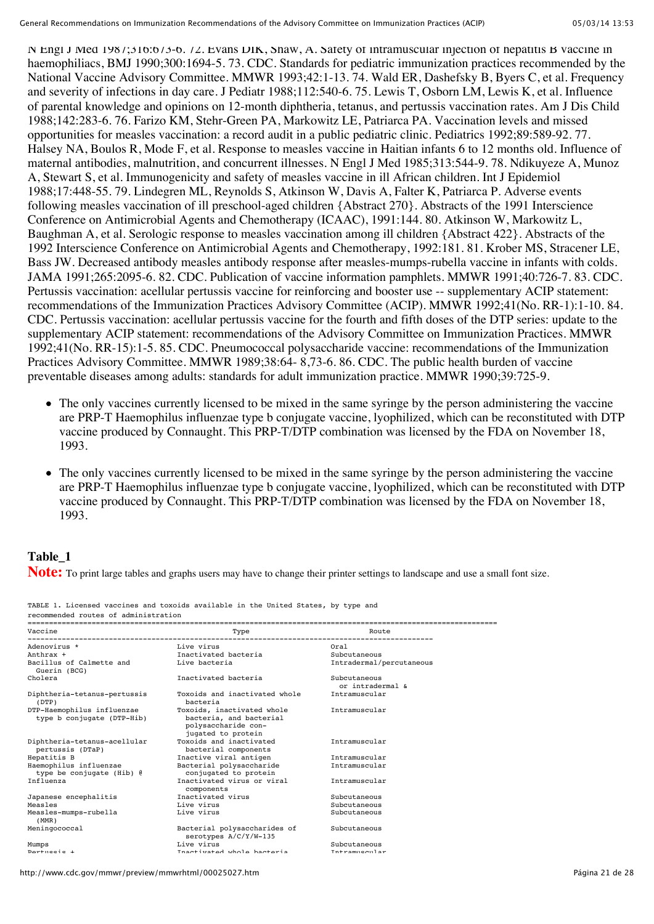N Engl J Med 1987;316:673-6. 72. Evans DIK, Shaw, A. Safety of intramuscular injection of hepatitis B vaccine in haemophiliacs, BMJ 1990;300:1694-5.73. CDC. Standards for pediatric immunization practices recommended by the National Vaccine Advisory Committee. MMWR 1993;42:1-13. 74. Wald ER, Dashefsky B, Byers C, et al. Frequency and severity of infections in day care. J Pediatr 1988;112:540-6. 75. Lewis T, Osborn LM, Lewis K, et al. Influence of parental knowledge and opinions on 12-month diphtheria, tetanus, and pertussis vaccination rates. Am J Dis Child 1988;142:283-6. 76. Farizo KM, Stehr-Green PA, Markowitz LE, Patriarca PA. Vaccination levels and missed opportunities for measles vaccination: a record audit in a public pediatric clinic. Pediatrics 1992;89:589-92. 77. Halsey NA, Boulos R, Mode F, et al. Response to measles vaccine in Haitian infants 6 to 12 months old. Influence of maternal antibodies, malnutrition, and concurrent illnesses. N Engl J Med 1985;313:544-9. 78. Ndikuyeze A, Munoz A, Stewart S, et al. Immunogenicity and safety of measles vaccine in ill African children. Int J Epidemiol 1988;17:448-55. 79. Lindegren ML, Reynolds S, Atkinson W, Davis A, Falter K, Patriarca P. Adverse events following measles vaccination of ill preschool-aged children {Abstract 270}. Abstracts of the 1991 Interscience Conference on Antimicrobial Agents and Chemotherapy (ICAAC), 1991:144. 80. Atkinson W, Markowitz L, Baughman A, et al. Serologic response to measles vaccination among ill children {Abstract 422}. Abstracts of the 1992 Interscience Conference on Antimicrobial Agents and Chemotherapy, 1992:181. 81. Krober MS, Stracener LE, Bass JW. Decreased antibody measles antibody response after measles-mumps-rubella vaccine in infants with colds. JAMA 1991;265:2095-6. 82. CDC. Publication of vaccine information pamphlets. MMWR 1991;40:726-7. 83. CDC. Pertussis vaccination: acellular pertussis vaccine for reinforcing and booster use -- supplementary ACIP statement: recommendations of the Immunization Practices Advisory Committee (ACIP). MMWR 1992;41(No. RR-1):1-10. 84. CDC. Pertussis vaccination: acellular pertussis vaccine for the fourth and fifth doses of the DTP series: update to the supplementary ACIP statement: recommendations of the Advisory Committee on Immunization Practices. MMWR 1992;41(No. RR-15):1-5. 85. CDC. Pneumococcal polysaccharide vaccine: recommendations of the Immunization Practices Advisory Committee. MMWR 1989;38:64- 8,73-6. 86. CDC. The public health burden of vaccine preventable diseases among adults: standards for adult immunization practice. MMWR 1990;39:725-9.

- The only vaccines currently licensed to be mixed in the same syringe by the person administering the vaccine are PRP-T Haemophilus influenzae type b conjugate vaccine, lyophilized, which can be reconstituted with DTP vaccine produced by Connaught. This PRP-T/DTP combination was licensed by the FDA on November 18, 1993.
- The only vaccines currently licensed to be mixed in the same syringe by the person administering the vaccine are PRP-T Haemophilus influenzae type b conjugate vaccine, lyophilized, which can be reconstituted with DTP vaccine produced by Connaught. This PRP-T/DTP combination was licensed by the FDA on November 18, 1993.

## **Table\_1**

**Note:** To print large tables and graphs users may have to change their printer settings to landscape and use a small font size.

| Vaccine<br>--------------------------                    | Type                                                                                               | Route                            |
|----------------------------------------------------------|----------------------------------------------------------------------------------------------------|----------------------------------|
| Adenovirus *                                             | Live virus                                                                                         | Oral                             |
| Anthrax $+$                                              | Inactivated bacteria                                                                               | Subcutaneous                     |
| Bacillus of Calmette and<br>Guerin (BCG)                 | Live bacteria                                                                                      | Intradermal/percutaneous         |
| Cholera                                                  | Inactivated bacteria                                                                               | Subcutaneous<br>or intradermal & |
| Diphtheria-tetanus-pertussis<br>(DTP)                    | Toxoids and inactivated whole<br>bacteria                                                          | Intramuscular                    |
| DTP-Haemophilus influenzae<br>type b conjugate (DTP-Hib) | Toxoids, inactivated whole<br>bacteria, and bacterial<br>polysaccharide con-<br>jugated to protein | Intramuscular                    |
| Diphtheria-tetanus-acellular<br>pertussis (DTaP)         | Toxoids and inactivated<br>bacterial components                                                    | Intramuscular                    |
| Hepatitis B                                              | Inactive viral antigen                                                                             | Intramuscular                    |
| Haemophilus influenzae<br>type be conjugate (Hib) @      | Bacterial polysaccharide<br>conjugated to protein                                                  | Intramuscular                    |
| Influenza                                                | Inactivated virus or viral<br>components                                                           | Intramuscular                    |
| Japanese encephalitis                                    | Inactivated virus                                                                                  | Subcutaneous                     |
| Measles                                                  | Live virus                                                                                         | Subcutaneous                     |
| Measles-mumps-rubella<br>(MMR)                           | Live virus                                                                                         | Subcutaneous                     |
| Meningococcal                                            | Bacterial polysaccharides of<br>serotypes A/C/Y/W-135                                              | Subcutaneous                     |
| Mumps                                                    | Live virus                                                                                         | Subcutaneous                     |
| $Dar+nerie +$                                            | Inactivated whole bacteria                                                                         | Intramnecular                    |

TABLE 1. Licensed vaccines and toxoids available in the United States, by type and recommended routes of administration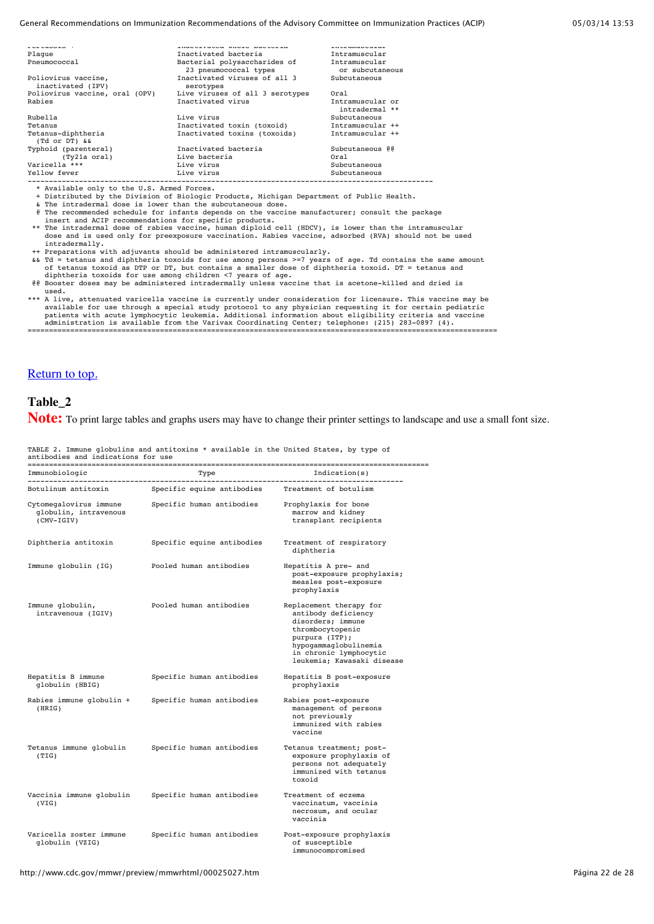\* Available only to the U.S. Armed Forces.

- + Distributed by the Division of Biologic Products, Michigan Department of Public Health. & The intradermal dose is lower than the subcutaneous dose.
- @ The recommended schedule for infants depends on the vaccine manufacturer; consult the package
- insert and ACIP recommendations for specific products. \*\* The intradermal dose of rabies vaccine, human diploid cell (HDCV), is lower than the intramuscular dose and is used only for preexposure vaccination. Rabies vaccine, adsorbed (RVA) should not be used intradermally.
- 
- ++ Preparations with adjuvants should be administered intramuscularly.<br>
& Td = tetanus and diphtheria toxoids for use among persons >=7 years of age. Td contains the same amount<br>
of tetanus toxoid as DTP or DT, but contai
- 

used.<br> $...$ \*\*\* A live, attenuated varicella vaccine is currently under consideration for licensure. This vaccine may be available for use through a special study protocol to any physician requesting it for certain pediatric<br>patients with acute lymphocytic leukemia. Additional information about eligibility criteria and vaccine<br>administration ==============================================================================================================

#### [Return to top.](http://www.cdc.gov/mmwr/preview/mmwrhtml/00025027.htm#top)

## **Table\_2**

**Note:** To print large tables and graphs users may have to change their printer settings to landscape and use a small font size.

TABLE 2. Immune globulins and antitoxins \* available in the United States, by type of antibodies and indications for use

| Immunobiologic                                                | Type                       | Indication(s)                                                                                                                                                                              |
|---------------------------------------------------------------|----------------------------|--------------------------------------------------------------------------------------------------------------------------------------------------------------------------------------------|
| Botulinum antitoxin                                           | Specific equine antibodies | Treatment of botulism                                                                                                                                                                      |
| Cytomegalovirus immune<br>globulin, intravenous<br>(CMV-IGIV) | Specific human antibodies  | Prophylaxis for bone<br>marrow and kidney<br>transplant recipients                                                                                                                         |
| Diphtheria antitoxin                                          | Specific equine antibodies | Treatment of respiratory<br>diphtheria                                                                                                                                                     |
| Immune globulin (IG)                                          | Pooled human antibodies    | Hepatitis A pre- and<br>post-exposure prophylaxis;<br>measles post-exposure<br>prophylaxis                                                                                                 |
| Immune globulin,<br>intravenous (IGIV)                        | Pooled human antibodies    | Replacement therapy for<br>antibody deficiency<br>disorders; immune<br>thrombocytopenic<br>purpura (ITP);<br>hypogammaglobulinemia<br>in chronic lymphocytic<br>leukemia; Kawasaki disease |
| Hepatitis B immune<br>globulin (HBIG)                         | Specific human antibodies  | Hepatitis B post-exposure<br>prophylaxis                                                                                                                                                   |
| Rabies immune globulin +<br>(HRIG)                            | Specific human antibodies  | Rabies post-exposure<br>management of persons<br>not previously<br>immunized with rabies<br>vaccine                                                                                        |
| Tetanus immune globulin<br>(TIG)                              | Specific human antibodies  | Tetanus treatment; post-<br>exposure prophylaxis of<br>persons not adequately<br>immunized with tetanus<br>toxoid                                                                          |
| Vaccinia immune globulin<br>(VIG)                             | Specific human antibodies  | Treatment of eczema<br>vaccinatum, vaccinia<br>necrosum, and ocular<br>vaccinia                                                                                                            |
| Varicella zoster immune<br>globulin (VZIG)                    | Specific human antibodies  | Post-exposure prophylaxis<br>of susceptible<br>immunocompromised                                                                                                                           |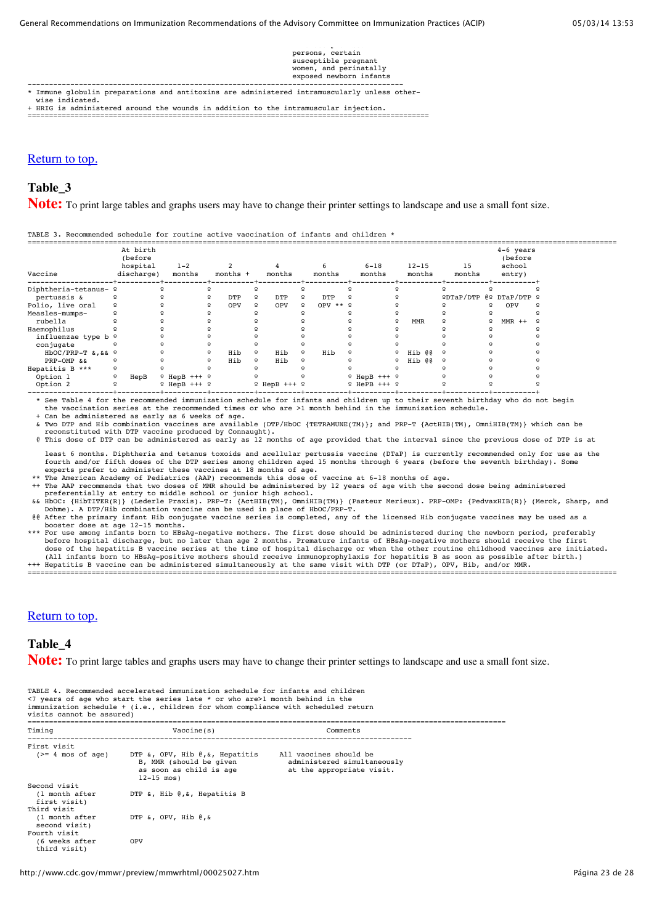immunocompromised by the compromised by  $\mathbb{R}^n$  . The compromised by  $\mathbb{R}^n$  persons, certain .<br>susceptible pregnant women, and perinatally exposed newborn infants

---------------------------------------------------------------------------------------- \* Immune globulin preparations and antitoxins are administered intramuscularly unless other-

wise indicated.

+ HRIG is administered around the wounds in addition to the intramuscular injection. ==============================================================================================

#### [Return to top.](http://www.cdc.gov/mmwr/preview/mmwrhtml/00025027.htm#top)

#### **Table\_3**

**Note:** To print large tables and graphs users may have to change their printer settings to landscape and use a small font size.

| Vaccine                 |                         | At birth<br>(before<br>hospital<br>discharge) |         | $1 - 2$<br>months |          | months + |                         | months            |                         | months       |            | $6 - 18$<br>months |                         | $12 - 15$<br>months | 15<br>months |                         | 4-6 years<br>(before<br>school<br>entry) |  |
|-------------------------|-------------------------|-----------------------------------------------|---------|-------------------|----------|----------|-------------------------|-------------------|-------------------------|--------------|------------|--------------------|-------------------------|---------------------|--------------|-------------------------|------------------------------------------|--|
| Diphtheria-tetanus- º   |                         |                                               |         |                   | o        |          |                         |                   |                         |              |            |                    |                         |                     |              |                         |                                          |  |
| pertussis &             |                         |                                               |         |                   | ∘        | DTP      | $\circ$                 | DTP               | ∘                       | DTP          | ∘          |                    |                         |                     | ºDTaP/DTP    |                         | @ DTaP/DTP º                             |  |
| Polio, live oral        | $\overline{\mathsf{O}}$ |                                               |         |                   | $\Omega$ | OPV      | $\Omega$                | OPV               | o                       | OPV $**$ $9$ |            |                    |                         |                     |              |                         | <b>OPV</b>                               |  |
| Measles-mumps-          |                         |                                               |         |                   |          |          |                         |                   |                         |              |            |                    |                         |                     |              |                         |                                          |  |
| rubella                 |                         |                                               | $\circ$ |                   |          |          |                         |                   |                         |              |            |                    | $\overline{\mathsf{c}}$ | <b>MMR</b>          |              | $\overline{\mathsf{c}}$ | $MMR + +$                                |  |
| Haemophilus             |                         |                                               | $\circ$ |                   |          |          | $\circ$                 |                   |                         |              | $^{\circ}$ |                    | $\circ$                 |                     | $^{\circ}$   |                         |                                          |  |
| influenzae type b º     |                         |                                               |         |                   |          |          |                         |                   |                         |              |            |                    |                         |                     |              |                         |                                          |  |
| conjugate               |                         |                                               |         |                   | o        |          |                         |                   |                         |              |            |                    |                         |                     |              |                         |                                          |  |
| $HbOC/PRP-T & 0.66$ $9$ |                         |                                               |         |                   | $\Omega$ | Hib      | $\overline{\mathsf{O}}$ | Hib               | $\overline{\mathsf{O}}$ | Hib          | o          |                    | $\mathbf{\Omega}$       | Hib @@              | $\circ$      |                         |                                          |  |
| PRP-OMP &&              | $\overline{\mathsf{O}}$ |                                               |         |                   | $\Omega$ | Hib      | $\circ$                 | Hib               | $\circ$                 |              |            |                    | $\overline{\mathsf{O}}$ | Hib @@              | $\Omega$     |                         |                                          |  |
| Hepatitis B ***         | $\overline{\mathsf{O}}$ |                                               |         |                   |          |          |                         |                   |                         |              |            |                    |                         |                     |              |                         |                                          |  |
| Option 1                | $\mathbf{\Omega}$       | HepB                                          |         | $9$ HepB $++$ $9$ |          |          |                         |                   |                         |              |            | $9$ HepB $++$ $9$  |                         |                     |              |                         |                                          |  |
| Option 2                | $\overline{\mathsf{O}}$ |                                               |         | $9$ HepB $++$ $9$ |          |          |                         | $Q$ HepB $++$ $Q$ |                         |              |            | $9$ HePB $++$ $9$  |                         |                     |              |                         |                                          |  |
|                         |                         |                                               |         |                   |          |          |                         |                   |                         |              |            |                    |                         |                     |              |                         |                                          |  |

--------------------+----------+----------+----------+----------+----------+----------+----------+----------+----------+ \* See Table 4 for the recommended immunization schedule for infants and children up to their seventh birthday who do not begin the vaccination series at the recommended times or who are >1 month behind in the immunization schedule. + Can be administered as early as 6 weeks of age.

 & Two DTP and Hib combination vaccines are available (DTP/HbOC {TETRAMUNE(TM)}; and PRP-T {ActHIB(TM), OmniHIB(TM)} which can be reconstituted with DTP vaccine produced by Connaught).<br>@ This dose of DTP can be administered as early as 12 months of age provided that the interval since the previous dose of DTP is at

 least 6 months. Diphtheria and tetanus toxoids and acellular pertussis vaccine (DTaP) is currently recommended only for use as the fourth and/or fifth doses of the DTP series among children aged 15 months through 6 years (before the seventh birthday). Some

experts prefer to administer these vaccines at 18 months of age. \*\* The American Academy of Pediatrics (AAP) recommends this dose of vaccine at 6-18 months of age.

++ The AAP recommends that two doses of MMR should be administered by 12 years of age with the second dose being administered

preferentially at entry to middle school or junior high school.<br>Ex HbOC: {HibTITER(R)} (Lederle Praxis). PRP-T: {ActHIB(TM), OmniHIB(TM)} (Pasteur Merieux). PRP-OMP: {PedvaxHIB(R)} (Merck, Sharp, and<br>Dohme). A DTP/Hib comb

booster dose at age 12-15 months.

\*\*\* For use among infants born to HBsAg-negative mothers. The first dose should be administered during the newborn period, preferably before hospital discharge, but no later than age 2 months. Premature infants of HBsAg-negative mothers should receive the first<br>dose of the hepatitis B vaccine series at the time of hospital discharge or when the other rou (All infants born to HBsAg-positive mothers should receive immunoprophylaxis for hepatitis B as soon as possible after birth.)

+++ Hepatitis B vaccine can be administered simultaneously at the same visit with DTP (or DTaP), OPV, Hib, and/or MMR.

==========================================================================================================================================

#### [Return to top.](http://www.cdc.gov/mmwr/preview/mmwrhtml/00025027.htm#top)

#### **Table\_4**

**Note:** To print large tables and graphs users may have to change their printer settings to landscape and use a small font size.

TABLE 4. Recommended accelerated immunization schedule for infants and children <7 years of age who start the series late \* or who are>1 month behind in the immunization schedule + (i.e., children for whom compliance with scheduled return visits cannot be assured) ================================================================================================================ Vaccine(s) Comments ------------------------------------------------------------------------------------------ First visit<br> $(>= 4 \text{ mos of age})$ DTP  $\&b$ , OPV, Hib  $\&b$ ,  $\&b$ , Hepatitis All vaccines should be  $\&b$ , MMR (should be given administered simultaneously  $B$ , MMR (should be given<br>as soon as child is age at the appropriate visit.  $12 - 15$  mos) Second visit<br>(1 month after DTP &, Hib @, &, Hepatitis B first visit) Third visit<br>(1 month after  $DTP & DTP$   $Q, QPV$ ,  $Hib & Q, Q$  second visit) Fourth visit (6 weeks after OPV third visit)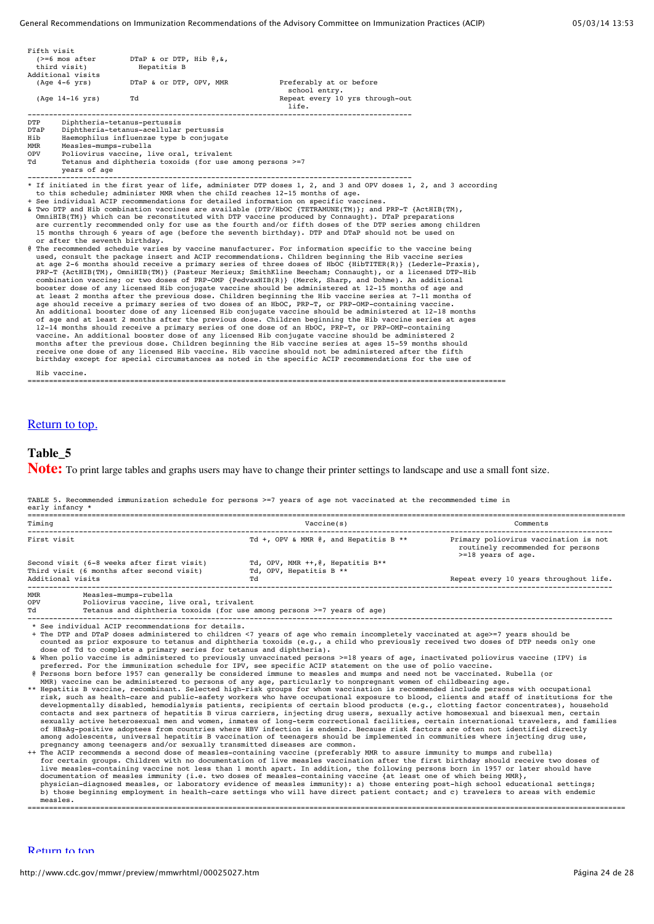| Fifth visit                                            |                                                                                                                                                                                                                                                     |                                                                                                                                                                                                                                                                                                                                                                                                                                                                                                                                                                                                                                                                                                                                                                                                                                                                                                                                                                                                                                                                                                                                                                                                                                                                                                                                                                                                                                                                                                                                                                                                                                                                                                                                                                                                                                                                                                                                                                                                                                                                                                                                                                                          |
|--------------------------------------------------------|-----------------------------------------------------------------------------------------------------------------------------------------------------------------------------------------------------------------------------------------------------|------------------------------------------------------------------------------------------------------------------------------------------------------------------------------------------------------------------------------------------------------------------------------------------------------------------------------------------------------------------------------------------------------------------------------------------------------------------------------------------------------------------------------------------------------------------------------------------------------------------------------------------------------------------------------------------------------------------------------------------------------------------------------------------------------------------------------------------------------------------------------------------------------------------------------------------------------------------------------------------------------------------------------------------------------------------------------------------------------------------------------------------------------------------------------------------------------------------------------------------------------------------------------------------------------------------------------------------------------------------------------------------------------------------------------------------------------------------------------------------------------------------------------------------------------------------------------------------------------------------------------------------------------------------------------------------------------------------------------------------------------------------------------------------------------------------------------------------------------------------------------------------------------------------------------------------------------------------------------------------------------------------------------------------------------------------------------------------------------------------------------------------------------------------------------------------|
| $(>= 6$ mos after                                      | DTaP & or DTP, Hib $\theta$ , &,                                                                                                                                                                                                                    |                                                                                                                                                                                                                                                                                                                                                                                                                                                                                                                                                                                                                                                                                                                                                                                                                                                                                                                                                                                                                                                                                                                                                                                                                                                                                                                                                                                                                                                                                                                                                                                                                                                                                                                                                                                                                                                                                                                                                                                                                                                                                                                                                                                          |
| third visit)                                           | Hepatitis B                                                                                                                                                                                                                                         |                                                                                                                                                                                                                                                                                                                                                                                                                                                                                                                                                                                                                                                                                                                                                                                                                                                                                                                                                                                                                                                                                                                                                                                                                                                                                                                                                                                                                                                                                                                                                                                                                                                                                                                                                                                                                                                                                                                                                                                                                                                                                                                                                                                          |
| Additional visits                                      |                                                                                                                                                                                                                                                     |                                                                                                                                                                                                                                                                                                                                                                                                                                                                                                                                                                                                                                                                                                                                                                                                                                                                                                                                                                                                                                                                                                                                                                                                                                                                                                                                                                                                                                                                                                                                                                                                                                                                                                                                                                                                                                                                                                                                                                                                                                                                                                                                                                                          |
| $(Aqe 4-6 yrs)$                                        | DTaP & or DTP, OPV, MMR                                                                                                                                                                                                                             | Preferably at or before<br>school entry.                                                                                                                                                                                                                                                                                                                                                                                                                                                                                                                                                                                                                                                                                                                                                                                                                                                                                                                                                                                                                                                                                                                                                                                                                                                                                                                                                                                                                                                                                                                                                                                                                                                                                                                                                                                                                                                                                                                                                                                                                                                                                                                                                 |
| (Age 14-16 yrs)                                        | Тd                                                                                                                                                                                                                                                  | Repeat every 10 yrs through-out<br>life.                                                                                                                                                                                                                                                                                                                                                                                                                                                                                                                                                                                                                                                                                                                                                                                                                                                                                                                                                                                                                                                                                                                                                                                                                                                                                                                                                                                                                                                                                                                                                                                                                                                                                                                                                                                                                                                                                                                                                                                                                                                                                                                                                 |
| DTP<br>DTaP<br>Hib<br>MMR<br>OPV<br>Td<br>years of age | Diphtheria-tetanus-pertussis<br>Diphtheria-tetanus-acellular pertussis<br>Haemophilus influenzae type b conjugate<br>Measles-mumps-rubella<br>Poliovirus vaccine, live oral, trivalent<br>Tetanus and diphtheria toxoids (for use among persons >=7 |                                                                                                                                                                                                                                                                                                                                                                                                                                                                                                                                                                                                                                                                                                                                                                                                                                                                                                                                                                                                                                                                                                                                                                                                                                                                                                                                                                                                                                                                                                                                                                                                                                                                                                                                                                                                                                                                                                                                                                                                                                                                                                                                                                                          |
|                                                        | to this schedule; administer MMR when the chiId reaches 12-15 months of age.<br>+ See individual ACIP recommendations for detailed information on specific vaccines.<br>or after the seventh birthday.                                              | * If initiated in the first year of life, administer DTP doses 1, 2, and 3 and OPV doses 1, 2, and 3 according<br>& Two DTP and Hib combination vaccines are available (DTP/HbOC {TETRAMUNE(TM)}; and PRP-T {ActHIB(TM),<br>OmniHIB(TM)} which can be reconstituted with DTP vaccine produced by Connaught). DTaP preparations<br>are currently recommended only for use as the fourth and/or fifth doses of the DTP series among children<br>15 months through 6 years of age (before the seventh birthday). DTP and DTaP should not be used on<br>If the recommended schedule varies by vaccine manufacturer. For information specific to the vaccine being<br>used, consult the package insert and ACIP recommendations. Children beginning the Hib vaccine series<br>at age 2-6 months should receive a primary series of three doses of HbOC (HibTITER(R)) (Lederle-Praxis),<br>PRP-T {ActHIB(TM), OmniHIB(TM)} (Pasteur Merieux; SmithKline Beecham; Connaught), or a licensed DTP-Hib<br>combination vaccine; or two doses of PRP-OMP {PedvaxHIB(R)} (Merck, Sharp, and Dohme). An additional<br>booster dose of any licensed Hib conjugate vaccine should be administered at 12-15 months of age and<br>at least 2 months after the previous dose. Children beginning the Hib vaccine series at 7-11 months of<br>age should receive a primary series of two doses of an HbOC, PRP-T, or PRP-OMP-containing vaccine.<br>An additional booster dose of any licensed Hib conjugate vaccine should be administered at 12-18 months<br>of age and at least 2 months after the previous dose. Children beginning the Hib vaccine series at ages<br>12-14 months should receive a primary series of one dose of an HbOC, PRP-T, or PRP-OMP-containing<br>vaccine. An additional booster dose of any licensed Hib conjugate vaccine should be administered 2<br>months after the previous dose. Children beginning the Hib vaccine series at ages 15-59 months should<br>receive one dose of any licensed Hib vaccine. Hib vaccine should not be administered after the fifth<br>birthday except for special circumstances as noted in the specific ACIP recommendations for the use of |

#### [Return to top.](http://www.cdc.gov/mmwr/preview/mmwrhtml/00025027.htm#top)

#### **Table\_5**

**Note:** To print large tables and graphs users may have to change their printer settings to landscape and use a small font size.

================================================================================================================

TABLE 5. Recommended immunization schedule for persons >=7 years of age not vaccinated at the recommended time in

| early infancy *                            |                                       |                                                                                                    |
|--------------------------------------------|---------------------------------------|----------------------------------------------------------------------------------------------------|
| Timing                                     | Vaccine(s)                            | Comments                                                                                           |
| First visit                                | Td +, OPV & MMR @, and Hepatitis B ** | Primary poliovirus vaccination is not<br>routinely recommended for persons<br>$>=18$ years of age. |
| Second visit (6-8 weeks after first visit) | Td, OPV, MMR ++, (e, Hepatitis B**    |                                                                                                    |
| Third visit (6 months after second visit)  | Td, OPV, Hepatitis B **               |                                                                                                    |
| Additional visits                          | Тd                                    | Repeat every 10 years throughout life.                                                             |
| <b>MMR</b><br>Measles-mumps-rubella        |                                       |                                                                                                    |

OPV Poliovirus vaccine, live oral, trivalent<br>Td Tetanus and diphtheria toxoids (for use

Tetanus and diphtheria toxoids (for use among persons  $\geq$ =7 years of age)

----------------------------------------------------------------------------------------------------------------------------------------- \* See individual ACIP recommendations for details.

+ The DTP and DTaP doses administered to children <7 years of age who remain incompletely vaccinated at age>=7 years should be

counted as prior exposure to tetanus and diphtheria toxoids (e.g., a child who previously received two doses of DTP needs only one<br>dose of Td to complete a primary series for tetanus and diphtheria).<br>& When polio vaccine i

e Persons born before 1957 can generally be considered immune to measles and mumps and need not be vaccinated. Rubella (or MMR) vaccine can be administered to persons of any age, meticularly to nonpregnant women of childbe

\*\* Hepatitis B vaccine, recombinant. Selected high-risk groups for whom vaccination is recommended include persons with occupational risk, such the risk, such the risk, such the risk, such the risk, such and public-safety contacts and sex partners of hepatitis B virus carriers, injecting drug users, sexually active homosexual and bisexual men, certain<br>sexually active heterosexual men and women, immates of long-term correctional facilities, pregnancy among teenagers and/or sexually transmitted diseases are common.

++ The ACIP recommends a second dose of measles-containing vaccine (preferably MMR to assure immunity to mumps and rubella)<br>for certain groups. Children with no docummentation of live measles vaccination after the first bi physician-diagnosed measles, or laboratory evidence of measles immunity): a) those entering post-high school educational settings;<br>b) those beginning employment in health-care settings who will have direct patient contact; measles. ============================================================================================================================================

#### [Return to top.](http://www.cdc.gov/mmwr/preview/mmwrhtml/00025027.htm#top)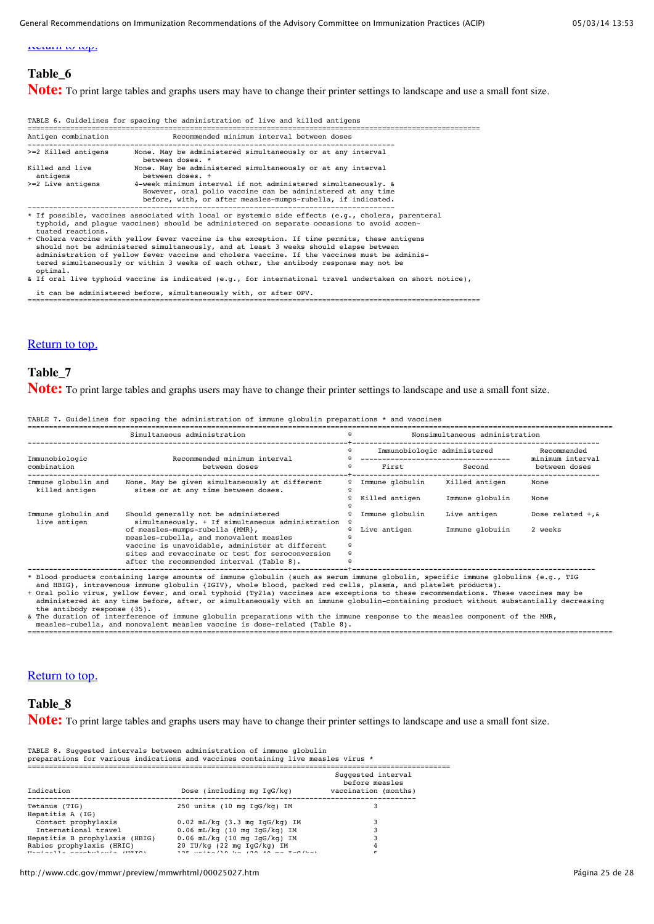[Return to top.](http://www.cdc.gov/mmwr/preview/mmwrhtml/00025027.htm#top)

## **Table\_6**

**Note:** To print large tables and graphs users may have to change their printer settings to landscape and use a small font size.

|                                                                                                                                                                                                 | TABLE 6. Guidelines for spacing the administration of live and killed antigens                                                                                                              |  |  |  |  |  |
|-------------------------------------------------------------------------------------------------------------------------------------------------------------------------------------------------|---------------------------------------------------------------------------------------------------------------------------------------------------------------------------------------------|--|--|--|--|--|
| Antigen combination                                                                                                                                                                             | Recommended minimum interval between doses                                                                                                                                                  |  |  |  |  |  |
| >=2 Killed antigens                                                                                                                                                                             | None. May be administered simultaneously or at any interval<br>between doses. *                                                                                                             |  |  |  |  |  |
| Killed and live<br>antigens                                                                                                                                                                     | None. May be administered simultaneously or at any interval<br>between doses. +                                                                                                             |  |  |  |  |  |
| $>=2$ Live antigens                                                                                                                                                                             | 4-week minimum interval if not administered simultaneously. &<br>However, oral polio vaccine can be administered at any time<br>before, with, or after measles-mumps-rubella, if indicated. |  |  |  |  |  |
| * If possible, vaccines associated with local or systemic side effects (e.g., cholera, parenteral<br>typhoid, and plaque vaccines) should be administered on separate occasions to avoid accen- |                                                                                                                                                                                             |  |  |  |  |  |

tuated reactions.

+ Cholera vaccine with yellow fever vaccine is the exception. If time permits, these antigens should not be administered simultaneously, and at least 3 weeks should elapse between<br>administration of yellow fever vaccine and cholera vaccine. If the vaccines must be adminis-<br>tered simultaneously or within 3 weeks of e optimal.

& If oral live typhoid vaccine is indicated (e.g., for international travel undertaken on short notice),

it can be administered before, simultaneously with, or after OPV.

==========================================================================================================

#### [Return to top.](http://www.cdc.gov/mmwr/preview/mmwrhtml/00025027.htm#top)

#### **Table\_7**

**Note:** To print large tables and graphs users may have to change their printer settings to landscape and use a small font size.

|                                       | Simultaneous administration                                                                                                                                                                                                    |         |                             | Nonsimultaneous administration  |                      |
|---------------------------------------|--------------------------------------------------------------------------------------------------------------------------------------------------------------------------------------------------------------------------------|---------|-----------------------------|---------------------------------|----------------------|
| Immunobiologic                        | Recommended minimum interval<br>between doses                                                                                                                                                                                  | $\circ$ | Immunobiologic administered | Recommended<br>minimum interval |                      |
| combination                           |                                                                                                                                                                                                                                |         | First                       | Second                          | between doses        |
| Immune globulin and<br>killed antigen | None. May be given simultaneously at different<br>sites or at any time between doses.                                                                                                                                          |         | Immune globulin             | Killed antigen                  | None                 |
|                                       |                                                                                                                                                                                                                                |         | Killed antigen              | Immune globulin                 | None                 |
| Immune globulin and<br>live antigen   | Should generally not be administered<br>simultaneously. + If simultaneous administration                                                                                                                                       |         | Immune globulin             | Live antigen                    | Dose related $+, \&$ |
|                                       | of measles-mumps-rubella {MMR},<br>measles-rubella, and monovalent measles<br>vaccine is unavoidable, administer at different<br>sites and revaccinate or test for seroconversion<br>after the recommended interval (Table 8). | $\circ$ | Live antigen                | Immune globuiin                 | 2 weeks              |

 $T_{\text{m}}$   $\sigma$   $\alpha$  delines for spacing the administration of immune globulin preparations  $\epsilon$  and vaccines

---------------------------------------------------------------------------+--------------------------------------------------------- \* Blood products containing large amounts of immune globulin (such as serum immune globulin, specific immune globulins {e.g., TIG and HBIG}, intravenous immune globulin {IGIV}, whole blood, packed red cells, plasma, and platelet products).

f Oral polio virus, yellow fever, and oral typhoid (Ty21a) vaccines are exceptions to these recommendations. These vaccines may be the administered at any time before, after, or simultaneously with an immune globulin-conta

the antibody response (35). & The duration of interference of immune globulin preparations with the immune response to the measles component of the MMR,

 measles-rubella, and monovalent measles vaccine is dose-related (Table 8). =========================================================================================================================================

#### [Return to top.](http://www.cdc.gov/mmwr/preview/mmwrhtml/00025027.htm#top)

#### **Table\_8**

**Note:** To print large tables and graphs users may have to change their printer settings to landscape and use a small font size.

TABLE 8. Suggested intervals between administration of immune globulin

preparations for various indications and vaccines containing live measles virus \* ===================================================================================================

| Indication                                                    | Dose (including mg IgG/kg)          | Suggested interval<br>before measles<br>vaccination (months) |
|---------------------------------------------------------------|-------------------------------------|--------------------------------------------------------------|
| Tetanus (TIG)                                                 | 250 units (10 mg IgG/kg) IM         |                                                              |
| Hepatitis A (IG)                                              |                                     |                                                              |
| Contact prophylaxis                                           | $0.02$ mL/kg $(3.3$ mg IgG/kg) IM   |                                                              |
| International travel                                          | $0.06$ mL/kg (10 mg IgG/kg) IM      |                                                              |
| Hepatitis B prophylaxis (HBIG)                                | $0.06$ mL/kg (10 mg IgG/kg) IM      |                                                              |
| Rabies prophylaxis (HRIG)                                     | 20 IU/kg (22 mg IgG/kg) IM          | 4                                                            |
| $\sim$ and $\sim$ and $\sim$ and $\sim$ and $\sim$ and $\sim$ | $105 \t 11.401 \t 100.40 \t -101.1$ |                                                              |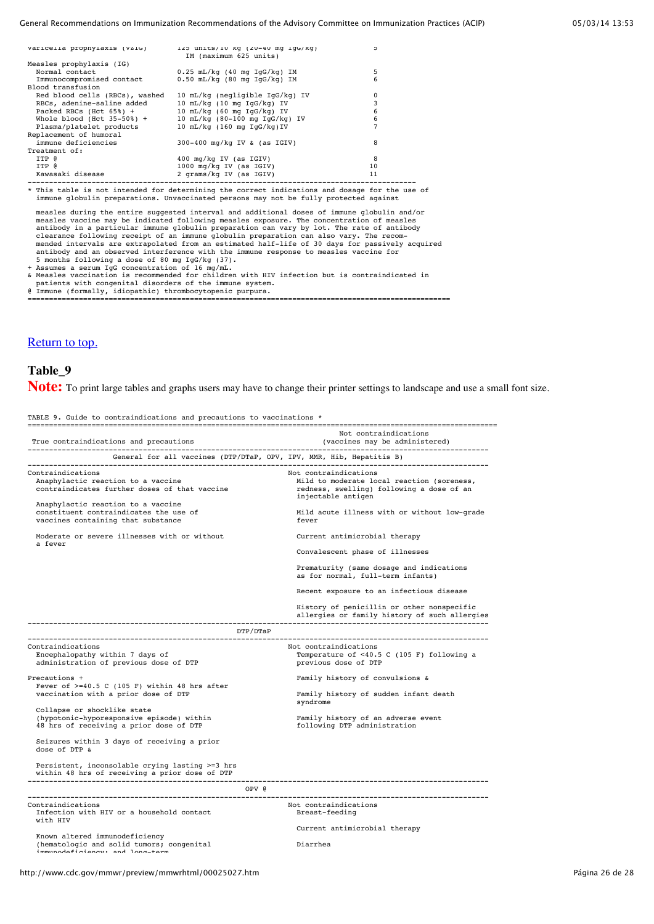| Varicella prophylaxis (VZIG)   | 125 units/10 kg (20-40 mg 1gG/Kg)<br>IM (maximum 625 units) | $\mathcal{D}$ |
|--------------------------------|-------------------------------------------------------------|---------------|
| Measles prophylaxis (IG)       |                                                             |               |
| Normal contact                 | $0.25$ mL/kg (40 mg IgG/kg) IM                              | 5             |
| Immunocompromised contact      | $0.50$ mL/kg (80 mg IgG/kg) IM                              | 6             |
| Blood transfusion              |                                                             |               |
| Red blood cells (RBCs), washed | 10 mL/kg (negligible IgG/kg) IV                             | 0             |
| RBCs, adenine-saline added     | 10 $mL/kg$ (10 mg IgG/kg) IV                                | 3             |
| Packed RBCs (Hct 65%) +        | 10 $mL/kg$ (60 mg IgG/kg) IV                                | 6             |
| Whole blood (Hct $35-50\%$ ) + | 10 mL/kg (80-100 mg IgG/kg) IV                              | 6             |
| Plasma/platelet products       | 10 mL/kg $(160 \text{ mg } \text{IqG/kg})$ IV               | 7             |
| Replacement of humoral         |                                                             |               |
| immune deficiencies            | 300-400 mg/kg IV & (as IGIV)                                | 8             |
| Treatment of:                  |                                                             |               |
| TTP @                          | $400 \text{ mg/kg}$ IV (as IGIV)                            | 8             |
| ITP @                          | $1000 \text{ mg/kg}$ IV (as IGIV)                           | 10            |
| Kawasaki disease               | 2 grams/kg IV (as IGIV)                                     | 11            |

------------------------------------------------------------------------------------------- \* This table is not intended for determining the correct indications and dosage for the use of immune globulin preparations. Unvaccinated persons may not be fully protected against

measles during the entire suggested interval and additional doses of immune globulin and/or<br>measles vaccine may be indicated following measles exposure. The concentration of measles<br>antibody in a particular immune globulin clearance following receipt of an immune globulin preparation can also vary. The recom- mended intervals are extrapolated from an estimated half-life of 30 days for passively acquired antibody and an observed interference with the immune response to measles vaccine for 5 months following a dose of 80 mg IgG/kg (37).

+ Assumes a serum IgG concentration of 16 mg/mL.

& Measles vaccination is recommended for children with HIV infection but is contraindicated in patients with congenital disorders of the immune system.

@ Immune (formally, idiopathic) thrombocytopenic purpura. ===================================================================================================

#### [Return to top.](http://www.cdc.gov/mmwr/preview/mmwrhtml/00025027.htm#top)

#### **Table\_9**

**Note:** To print large tables and graphs users may have to change their printer settings to landscape and use a small font size.

| True contraindications and precautions                                                                                                         | Not contraindications<br>(vaccines may be administered)                                                                                |
|------------------------------------------------------------------------------------------------------------------------------------------------|----------------------------------------------------------------------------------------------------------------------------------------|
| General for all vaccines (DTP/DTaP, OPV, IPV, MMR, Hib, Hepatitis B)                                                                           |                                                                                                                                        |
| Contraindications<br>Anaphylactic reaction to a vaccine<br>contraindicates further doses of that vaccine<br>Anaphylactic reaction to a vaccine | Not contraindications<br>Mild to moderate local reaction (soreness,<br>redness, swelling) following a dose of an<br>injectable antigen |
| constituent contraindicates the use of<br>vaccines containing that substance                                                                   | Mild acute illness with or without low-grade<br>fever                                                                                  |
| Moderate or severe illnesses with or without<br>a fever                                                                                        | Current antimicrobial therapy                                                                                                          |
|                                                                                                                                                | Convalescent phase of illnesses                                                                                                        |
|                                                                                                                                                | Prematurity (same dosage and indications<br>as for normal, full-term infants)                                                          |
|                                                                                                                                                | Recent exposure to an infectious disease                                                                                               |
|                                                                                                                                                | History of penicillin or other nonspecific<br>allergies or family history of such allergies                                            |
| DTP/DTaP                                                                                                                                       |                                                                                                                                        |
| Contraindications                                                                                                                              | Not contraindications                                                                                                                  |
| Encephalopathy within 7 days of<br>administration of previous dose of DTP                                                                      | Temperature of <40.5 C (105 F) following a<br>previous dose of DTP                                                                     |
| Precautions +                                                                                                                                  | Family history of convulsions &                                                                                                        |
| Fever of $>=40.5$ C (105 F) within 48 hrs after<br>vaccination with a prior dose of DTP                                                        | Family history of sudden infant death<br>syndrome                                                                                      |
| Collapse or shocklike state<br>(hypotonic-hyporesponsive episode) within<br>48 hrs of receiving a prior dose of DTP                            | Family history of an adverse event<br>following DTP administration                                                                     |
| Seizures within 3 days of receiving a prior<br>dose of DTP &                                                                                   |                                                                                                                                        |
| Persistent, inconsolable crying lasting >=3 hrs<br>within 48 hrs of receiving a prior dose of DTP                                              |                                                                                                                                        |
| OPV @                                                                                                                                          |                                                                                                                                        |
| Contraindications<br>Infection with HIV or a household contact<br>with HIV                                                                     | Not contraindications<br>Breast-feeding                                                                                                |
|                                                                                                                                                | Current antimicrobial therapy                                                                                                          |
| Known altered immunodeficiency<br>(hematologic and solid tumors; congenital<br>immunodaficiancy, and long-tarm                                 | Diarrhea                                                                                                                               |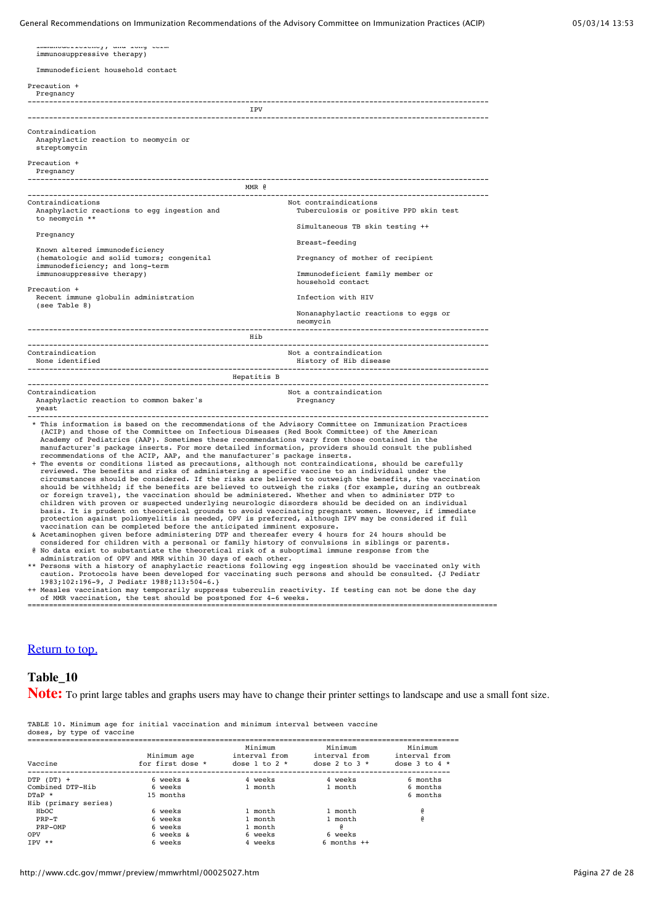General Recommendations on Immunization Recommendations of the Advisory Committee on Immunization Practices (ACIP) 05/03/14 13:53

| immunouerrorenoy, unu rong-cerm<br>immunosuppressive therapy)                                                                                                                                                                                                                                                                                                                                                                                                                                                                                                                                                                                                                                                                                                                                                                                                                                                                                                                                                                                                                                                                                                                                                                                                                                                                                                                                                                                                                                                                                                                                                                                                                                                                                                                                                                                                                                                                    |                                                       |
|----------------------------------------------------------------------------------------------------------------------------------------------------------------------------------------------------------------------------------------------------------------------------------------------------------------------------------------------------------------------------------------------------------------------------------------------------------------------------------------------------------------------------------------------------------------------------------------------------------------------------------------------------------------------------------------------------------------------------------------------------------------------------------------------------------------------------------------------------------------------------------------------------------------------------------------------------------------------------------------------------------------------------------------------------------------------------------------------------------------------------------------------------------------------------------------------------------------------------------------------------------------------------------------------------------------------------------------------------------------------------------------------------------------------------------------------------------------------------------------------------------------------------------------------------------------------------------------------------------------------------------------------------------------------------------------------------------------------------------------------------------------------------------------------------------------------------------------------------------------------------------------------------------------------------------|-------------------------------------------------------|
| Immunodeficient household contact                                                                                                                                                                                                                                                                                                                                                                                                                                                                                                                                                                                                                                                                                                                                                                                                                                                                                                                                                                                                                                                                                                                                                                                                                                                                                                                                                                                                                                                                                                                                                                                                                                                                                                                                                                                                                                                                                                |                                                       |
| Precaution +<br>Pregnancy                                                                                                                                                                                                                                                                                                                                                                                                                                                                                                                                                                                                                                                                                                                                                                                                                                                                                                                                                                                                                                                                                                                                                                                                                                                                                                                                                                                                                                                                                                                                                                                                                                                                                                                                                                                                                                                                                                        |                                                       |
| IPV                                                                                                                                                                                                                                                                                                                                                                                                                                                                                                                                                                                                                                                                                                                                                                                                                                                                                                                                                                                                                                                                                                                                                                                                                                                                                                                                                                                                                                                                                                                                                                                                                                                                                                                                                                                                                                                                                                                              |                                                       |
|                                                                                                                                                                                                                                                                                                                                                                                                                                                                                                                                                                                                                                                                                                                                                                                                                                                                                                                                                                                                                                                                                                                                                                                                                                                                                                                                                                                                                                                                                                                                                                                                                                                                                                                                                                                                                                                                                                                                  |                                                       |
| Contraindication<br>Anaphylactic reaction to neomycin or<br>streptomycin                                                                                                                                                                                                                                                                                                                                                                                                                                                                                                                                                                                                                                                                                                                                                                                                                                                                                                                                                                                                                                                                                                                                                                                                                                                                                                                                                                                                                                                                                                                                                                                                                                                                                                                                                                                                                                                         |                                                       |
| Precaution +<br>Pregnancy                                                                                                                                                                                                                                                                                                                                                                                                                                                                                                                                                                                                                                                                                                                                                                                                                                                                                                                                                                                                                                                                                                                                                                                                                                                                                                                                                                                                                                                                                                                                                                                                                                                                                                                                                                                                                                                                                                        |                                                       |
| MMR @                                                                                                                                                                                                                                                                                                                                                                                                                                                                                                                                                                                                                                                                                                                                                                                                                                                                                                                                                                                                                                                                                                                                                                                                                                                                                                                                                                                                                                                                                                                                                                                                                                                                                                                                                                                                                                                                                                                            |                                                       |
| Contraindications                                                                                                                                                                                                                                                                                                                                                                                                                                                                                                                                                                                                                                                                                                                                                                                                                                                                                                                                                                                                                                                                                                                                                                                                                                                                                                                                                                                                                                                                                                                                                                                                                                                                                                                                                                                                                                                                                                                | Not contraindications                                 |
| Anaphylactic reactions to egg ingestion and<br>to neomycin **                                                                                                                                                                                                                                                                                                                                                                                                                                                                                                                                                                                                                                                                                                                                                                                                                                                                                                                                                                                                                                                                                                                                                                                                                                                                                                                                                                                                                                                                                                                                                                                                                                                                                                                                                                                                                                                                    | Tuberculosis or positive PPD skin test                |
| Pregnancy                                                                                                                                                                                                                                                                                                                                                                                                                                                                                                                                                                                                                                                                                                                                                                                                                                                                                                                                                                                                                                                                                                                                                                                                                                                                                                                                                                                                                                                                                                                                                                                                                                                                                                                                                                                                                                                                                                                        | Simultaneous TB skin testing ++                       |
|                                                                                                                                                                                                                                                                                                                                                                                                                                                                                                                                                                                                                                                                                                                                                                                                                                                                                                                                                                                                                                                                                                                                                                                                                                                                                                                                                                                                                                                                                                                                                                                                                                                                                                                                                                                                                                                                                                                                  | Breast-feeding                                        |
| Known altered immunodeficiency<br>(hematologic and solid tumors; congenital<br>immunodeficiency; and long-term                                                                                                                                                                                                                                                                                                                                                                                                                                                                                                                                                                                                                                                                                                                                                                                                                                                                                                                                                                                                                                                                                                                                                                                                                                                                                                                                                                                                                                                                                                                                                                                                                                                                                                                                                                                                                   | Pregnancy of mother of recipient                      |
| immunosuppressive therapy)                                                                                                                                                                                                                                                                                                                                                                                                                                                                                                                                                                                                                                                                                                                                                                                                                                                                                                                                                                                                                                                                                                                                                                                                                                                                                                                                                                                                                                                                                                                                                                                                                                                                                                                                                                                                                                                                                                       | Immunodeficient family member or<br>household contact |
| Precaution +<br>Recent immune globulin administration<br>(see Table 8)                                                                                                                                                                                                                                                                                                                                                                                                                                                                                                                                                                                                                                                                                                                                                                                                                                                                                                                                                                                                                                                                                                                                                                                                                                                                                                                                                                                                                                                                                                                                                                                                                                                                                                                                                                                                                                                           | Infection with HIV                                    |
|                                                                                                                                                                                                                                                                                                                                                                                                                                                                                                                                                                                                                                                                                                                                                                                                                                                                                                                                                                                                                                                                                                                                                                                                                                                                                                                                                                                                                                                                                                                                                                                                                                                                                                                                                                                                                                                                                                                                  | Nonanaphylactic reactions to eggs or<br>neomycin      |
| Hib                                                                                                                                                                                                                                                                                                                                                                                                                                                                                                                                                                                                                                                                                                                                                                                                                                                                                                                                                                                                                                                                                                                                                                                                                                                                                                                                                                                                                                                                                                                                                                                                                                                                                                                                                                                                                                                                                                                              |                                                       |
| Contraindication<br>None identified                                                                                                                                                                                                                                                                                                                                                                                                                                                                                                                                                                                                                                                                                                                                                                                                                                                                                                                                                                                                                                                                                                                                                                                                                                                                                                                                                                                                                                                                                                                                                                                                                                                                                                                                                                                                                                                                                              | Not a contraindication<br>History of Hib disease      |
| Hepatitis B                                                                                                                                                                                                                                                                                                                                                                                                                                                                                                                                                                                                                                                                                                                                                                                                                                                                                                                                                                                                                                                                                                                                                                                                                                                                                                                                                                                                                                                                                                                                                                                                                                                                                                                                                                                                                                                                                                                      |                                                       |
| Contraindication                                                                                                                                                                                                                                                                                                                                                                                                                                                                                                                                                                                                                                                                                                                                                                                                                                                                                                                                                                                                                                                                                                                                                                                                                                                                                                                                                                                                                                                                                                                                                                                                                                                                                                                                                                                                                                                                                                                 | Not a contraindication                                |
| Anaphylactic reaction to common baker's<br>yeast                                                                                                                                                                                                                                                                                                                                                                                                                                                                                                                                                                                                                                                                                                                                                                                                                                                                                                                                                                                                                                                                                                                                                                                                                                                                                                                                                                                                                                                                                                                                                                                                                                                                                                                                                                                                                                                                                 | Pregnancy                                             |
| * This information is based on the recommendations of the Advisory Committee on Immunization Practices<br>(ACIP) and those of the Committee on Infectious Diseases (Red Book Committee) of the American<br>Academy of Pediatrics (AAP). Sometimes these recommendations vary from those contained in the<br>manufacturer's package inserts. For more detailed information, providers should consult the published<br>recommendations of the ACIP, AAP, and the manufacturer's package inserts.<br>+ The events or conditions listed as precautions, although not contraindications, should be carefully<br>reviewed. The benefits and risks of administering a specific vaccine to an individual under the<br>circumstances should be considered. If the risks are believed to outweigh the benefits, the vaccination<br>should be withheld; if the benefits are believed to outweigh the risks (for example, during an outbreak<br>or foreign travel), the vaccination should be administered. Whether and when to administer DTP to<br>children with proven or suspected underlying neurologic disorders should be decided on an individual<br>basis. It is prudent on theoretical grounds to avoid vaccinating pregnant women. However, if immediate<br>protection against poliomyelitis is needed, OPV is preferred, although IPV may be considered if full<br>vaccination can be completed before the anticipated imminent exposure.<br>& Acetaminophen given before administering DTP and thereafer every 4 hours for 24 hours should be<br>considered for children with a personal or family history of convulsions in siblings or parents.<br>@ No data exist to substantiate the theoretical risk of a suboptimal immune response from the<br>administration of OPV and MMR within 30 days of each other.<br>** Persons with a history of anaphylactic reactions following egg ingestion should be vaccinated only with |                                                       |
| caution. Protocols have been developed for vaccinating such persons and should be consulted. {J Pediatr<br>1983;102:196-9, J Pediatr 1988;113:504-6.}                                                                                                                                                                                                                                                                                                                                                                                                                                                                                                                                                                                                                                                                                                                                                                                                                                                                                                                                                                                                                                                                                                                                                                                                                                                                                                                                                                                                                                                                                                                                                                                                                                                                                                                                                                            |                                                       |

1983;102:196-9, J Pediatr 1988;113:504-6.}<br>++ Measles vaccination may temporarily suppress tuberculin reactivity. If testing can not be done the day<br>of MMR vaccination, the test should be postponed for 4-6 weeks.<br>=========

#### [Return to top.](http://www.cdc.gov/mmwr/preview/mmwrhtml/00025027.htm#top)

#### **Table\_10**

**Note:** To print large tables and graphs users may have to change their printer settings to landscape and use a small font size.

| TABLE 10. Minimum age for initial vaccination and minimum interval between vaccine<br>doses, by type of vaccine |                                            |                                               |                                               |                                               |
|-----------------------------------------------------------------------------------------------------------------|--------------------------------------------|-----------------------------------------------|-----------------------------------------------|-----------------------------------------------|
| Vaccine                                                                                                         | Minimum age<br>for first dose *            | Minimum<br>interval from<br>dose $1$ to $2 *$ | Minimum<br>interval from<br>dose $2$ to $3 *$ | Minimum<br>interval from<br>dose $3$ to $4 *$ |
| $DTP (DT) +$<br>Combined DTP-Hib<br>$DTaP$ *<br>Hib (primary series)                                            | 6 weeks &<br>6 weeks<br>15 months          | 4 weeks<br>1 month                            | 4 weeks<br>1 month                            | 6 months<br>6 months<br>6 months              |
| HbOC<br>PRP-T<br>PRP-OMP<br>0PV                                                                                 | 6 weeks<br>6 weeks<br>6 weeks<br>6 weeks & | 1 month<br>1 month<br>1 month<br>6 weeks      | 1 month<br>1 month<br>e<br>6 weeks            | e<br>e                                        |
| $TPV$ **                                                                                                        | 6 weeks                                    | 4 weeks                                       | $6$ months $++$                               |                                               |